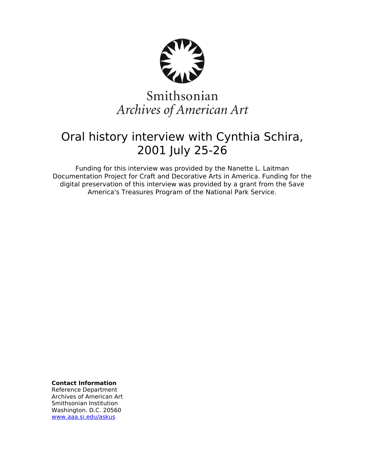

# Smithsonian Archives of American Art

## Oral history interview with Cynthia Schira, 2001 July 25-26

Funding for this interview was provided by the Nanette L. Laitman Documentation Project for Craft and Decorative Arts in America. Funding for the digital preservation of this interview was provided by a grant from the Save America's Treasures Program of the National Park Service.

**Contact Information**

Reference Department Archives of American Art Smithsonian Institution Washington. D.C. 20560 [www.aaa.si.edu/askus](http://www.aaa.si.edu/askus)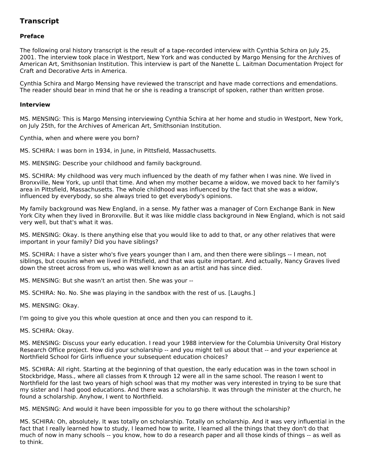### **Transcript**

### **Preface**

The following oral history transcript is the result of a tape-recorded interview with Cynthia Schira on July 25, 2001. The interview took place in Westport, New York and was conducted by Margo Mensing for the Archives of American Art, Smithsonian Institution. This interview is part of the Nanette L. Laitman Documentation Project for Craft and Decorative Arts in America.

Cynthia Schira and Margo Mensing have reviewed the transcript and have made corrections and emendations. The reader should bear in mind that he or she is reading a transcript of spoken, rather than written prose.

#### **Interview**

MS. MENSING: This is Margo Mensing interviewing Cynthia Schira at her home and studio in Westport, New York, on July 25th, for the Archives of American Art, Smithsonian Institution.

Cynthia, when and where were you born?

MS. SCHIRA: I was born in 1934, in June, in Pittsfield, Massachusetts.

MS. MENSING: Describe your childhood and family background.

MS. SCHIRA: My childhood was very much influenced by the death of my father when I was nine. We lived in Bronxville, New York, up until that time. And when my mother became a widow, we moved back to her family's area in Pittsfield, Massachusetts. The whole childhood was influenced by the fact that she was a widow, influenced by everybody, so she always tried to get everybody's opinions.

My family background was New England, in a sense. My father was a manager of Corn Exchange Bank in New York City when they lived in Bronxville. But it was like middle class background in New England, which is not said very well, but that's what it was.

MS. MENSING: Okay. Is there anything else that you would like to add to that, or any other relatives that were important in your family? Did you have siblings?

MS. SCHIRA: I have a sister who's five years younger than I am, and then there were siblings -- I mean, not siblings, but cousins when we lived in Pittsfield, and that was quite important. And actually, Nancy Graves lived down the street across from us, who was well known as an artist and has since died.

MS. MENSING: But she wasn't an artist then. She was your --

MS. SCHIRA: No. No. She was playing in the sandbox with the rest of us. [Laughs.]

MS. MENSING: Okay.

I'm going to give you this whole question at once and then you can respond to it.

MS. SCHIRA: Okay.

MS. MENSING: Discuss your early education. I read your 1988 interview for the Columbia University Oral History Research Office project. How did your scholarship -- and you might tell us about that -- and your experience at Northfield School for Girls influence your subsequent education choices?

MS. SCHIRA: All right. Starting at the beginning of that question, the early education was in the town school in Stockbridge, Mass., where all classes from K through 12 were all in the same school. The reason I went to Northfield for the last two years of high school was that my mother was very interested in trying to be sure that my sister and I had good educations. And there was a scholarship. It was through the minister at the church, he found a scholarship. Anyhow, I went to Northfield.

MS. MENSING: And would it have been impossible for you to go there without the scholarship?

MS. SCHIRA: Oh, absolutely. It was totally on scholarship. Totally on scholarship. And it was very influential in the fact that I really learned how to study, I learned how to write, I learned all the things that they don't do that much of now in many schools -- you know, how to do a research paper and all those kinds of things -- as well as to think.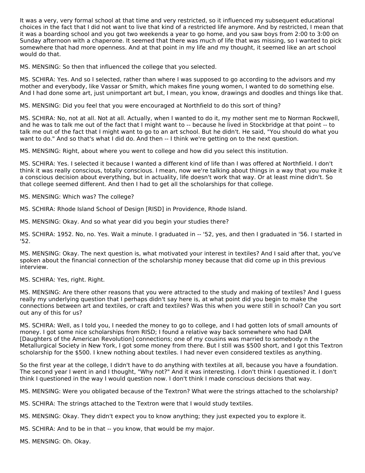It was a very, very formal school at that time and very restricted, so it influenced my subsequent educational choices in the fact that I did not want to live that kind of a restricted life anymore. And by restricted, I mean that it was a boarding school and you got two weekends a year to go home, and you saw boys from 2:00 to 3:00 on Sunday afternoon with a chaperone. It seemed that there was much of life that was missing, so I wanted to pick somewhere that had more openness. And at that point in my life and my thought, it seemed like an art school would do that.

MS. MENSING: So then that influenced the college that you selected.

MS. SCHIRA: Yes. And so I selected, rather than where I was supposed to go according to the advisors and my mother and everybody, like Vassar or Smith, which makes fine young women, I wanted to do something else. And I had done some art, just unimportant art but, I mean, you know, drawings and doodles and things like that.

MS. MENSING: Did you feel that you were encouraged at Northfield to do this sort of thing?

MS. SCHIRA: No, not at all. Not at all. Actually, when I wanted to do it, my mother sent me to Norman Rockwell, and he was to talk me out of the fact that I might want to -- because he lived in Stockbridge at that point -- to talk me out of the fact that I might want to go to an art school. But he didn't. He said, "You should do what you want to do." And so that's what I did do. And then -- I think we're getting on to the next question.

MS. MENSING: Right, about where you went to college and how did you select this institution.

MS. SCHIRA: Yes. I selected it because I wanted a different kind of life than I was offered at Northfield. I don't think it was really conscious, totally conscious. I mean, now we're talking about things in a way that you make it a conscious decision about everything, but in actuality, life doesn't work that way. Or at least mine didn't. So that college seemed different. And then I had to get all the scholarships for that college.

MS. MENSING: Which was? The college?

MS. SCHIRA: Rhode Island School of Design [RISD] in Providence, Rhode Island.

MS. MENSING: Okay. And so what year did you begin your studies there?

MS. SCHIRA: 1952. No, no. Yes. Wait a minute. I graduated in -- '52, yes, and then I graduated in '56. I started in '52.

MS. MENSING: Okay. The next question is, what motivated your interest in textiles? And I said after that, you've spoken about the financial connection of the scholarship money because that did come up in this previous interview.

MS. SCHIRA: Yes, right. Right.

MS. MENSING: Are there other reasons that you were attracted to the study and making of textiles? And I guess really my underlying question that I perhaps didn't say here is, at what point did you begin to make the connections between art and textiles, or craft and textiles? Was this when you were still in school? Can you sort out any of this for us?

MS. SCHIRA: Well, as I told you, I needed the money to go to college, and I had gotten lots of small amounts of money. I got some nice scholarships from RISD; I found a relative way back somewhere who had DAR [Daughters of the American Revolution] connections; one of my cousins was married to somebody n the Metallurgical Society in New York, I got some money from there. But I still was \$500 short, and I got this Textron scholarship for the \$500. I knew nothing about textiles. I had never even considered textiles as anything.

So the first year at the college, I didn't have to do anything with textiles at all, because you have a foundation. The second year I went in and I thought, "Why not?" And it was interesting. I don't think I questioned it. I don't think I questioned in the way I would question now. I don't think I made conscious decisions that way.

MS. MENSING: Were you obligated because of the Textron? What were the strings attached to the scholarship?

- MS. SCHIRA: The strings attached to the Textron were that I would study textiles.
- MS. MENSING: Okay. They didn't expect you to know anything; they just expected you to explore it.
- MS. SCHIRA: And to be in that -- you know, that would be my major.

MS. MENSING: Oh. Okay.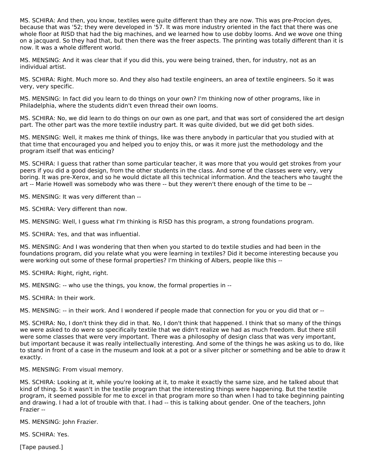MS. SCHIRA: And then, you know, textiles were quite different than they are now. This was pre-Procion dyes, because that was '52; they were developed in '57. It was more industry oriented in the fact that there was one whole floor at RISD that had the big machines, and we learned how to use dobby looms. And we wove one thing on a jacquard. So they had that, but then there was the freer aspects. The printing was totally different than it is now. It was a whole different world.

MS. MENSING: And it was clear that if you did this, you were being trained, then, for industry, not as an individual artist.

MS. SCHIRA: Right. Much more so. And they also had textile engineers, an area of textile engineers. So it was very, very specific.

MS. MENSING: In fact did you learn to do things on your own? I'm thinking now of other programs, like in Philadelphia, where the students didn't even thread their own looms.

MS. SCHIRA: No, we did learn to do things on our own as one part, and that was sort of considered the art design part. The other part was the more textile industry part. It was quite divided, but we did get both sides.

MS. MENSING: Well, it makes me think of things, like was there anybody in particular that you studied with at that time that encouraged you and helped you to enjoy this, or was it more just the methodology and the program itself that was enticing?

MS. SCHIRA: I guess that rather than some particular teacher, it was more that you would get strokes from your peers if you did a good design, from the other students in the class. And some of the classes were very, very boring. It was pre-Xerox, and so he would dictate all this technical information. And the teachers who taught the art -- Marie Howell was somebody who was there -- but they weren't there enough of the time to be --

MS. MENSING: It was very different than --

MS. SCHIRA: Very different than now.

MS. MENSING: Well, I guess what I'm thinking is RISD has this program, a strong foundations program.

MS. SCHIRA: Yes, and that was influential.

MS. MENSING: And I was wondering that then when you started to do textile studies and had been in the foundations program, did you relate what you were learning in textiles? Did it become interesting because you were working out some of these formal properties? I'm thinking of Albers, people like this --

MS. SCHIRA: Right, right, right.

MS. MENSING: -- who use the things, you know, the formal properties in --

MS. SCHIRA: In their work.

MS. MENSING: -- in their work. And I wondered if people made that connection for you or you did that or --

MS. SCHIRA: No, I don't think they did in that. No, I don't think that happened. I think that so many of the things we were asked to do were so specifically textile that we didn't realize we had as much freedom. But there still were some classes that were very important. There was a philosophy of design class that was very important, but important because it was really intellectually interesting. And some of the things he was asking us to do, like to stand in front of a case in the museum and look at a pot or a silver pitcher or something and be able to draw it exactly.

MS. MENSING: From visual memory.

MS. SCHIRA: Looking at it, while you're looking at it, to make it exactly the same size, and he talked about that kind of thing. So it wasn't in the textile program that the interesting things were happening. But the textile program, it seemed possible for me to excel in that program more so than when I had to take beginning painting and drawing. I had a lot of trouble with that. I had -- this is talking about gender. One of the teachers, John Frazier --

MS. MENSING: John Frazier.

MS. SCHIRA: Yes.

[Tape paused.]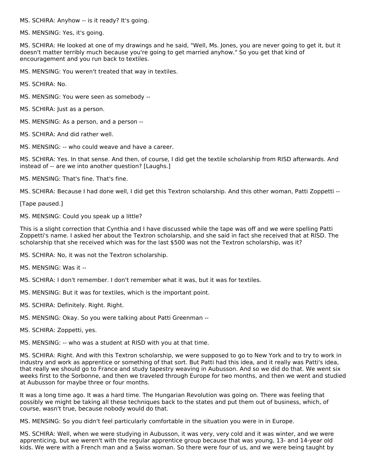MS. SCHIRA: Anyhow -- is it ready? It's going.

MS. MENSING: Yes, it's going.

MS. SCHIRA: He looked at one of my drawings and he said, "Well, Ms. Jones, you are never going to get it, but it doesn't matter terribly much because you're going to get married anyhow." So you get that kind of encouragement and you run back to textiles.

MS. MENSING: You weren't treated that way in textiles.

MS. SCHIRA: No.

- MS. MENSING: You were seen as somebody --
- MS. SCHIRA: Just as a person.
- MS. MENSING: As a person, and a person --
- MS. SCHIRA: And did rather well.
- MS. MENSING: -- who could weave and have a career.

MS. SCHIRA: Yes. In that sense. And then, of course, I did get the textile scholarship from RISD afterwards. And instead of -- are we into another question? [Laughs.]

MS. MENSING: That's fine. That's fine.

MS. SCHIRA: Because I had done well, I did get this Textron scholarship. And this other woman, Patti Zoppetti --

[Tape paused.]

MS. MENSING: Could you speak up a little?

This is a slight correction that Cynthia and I have discussed while the tape was off and we were spelling Patti Zoppetti's name. I asked her about the Textron scholarship, and she said in fact she received that at RISD. The scholarship that she received which was for the last \$500 was not the Textron scholarship, was it?

MS. SCHIRA: No, it was not the Textron scholarship.

MS. MENSING: Was it --

- MS. SCHIRA: I don't remember. I don't remember what it was, but it was for textiles.
- MS. MENSING: But it was for textiles, which is the important point.
- MS. SCHIRA: Definitely. Right. Right.
- MS. MENSING: Okay. So you were talking about Patti Greenman --
- MS. SCHIRA: Zoppetti, yes.

MS. MENSING: -- who was a student at RISD with you at that time.

MS. SCHIRA: Right. And with this Textron scholarship, we were supposed to go to New York and to try to work in industry and work as apprentice or something of that sort. But Patti had this idea, and it really was Patti's idea, that really we should go to France and study tapestry weaving in Aubusson. And so we did do that. We went six weeks first to the Sorbonne, and then we traveled through Europe for two months, and then we went and studied at Aubusson for maybe three or four months.

It was a long time ago. It was a hard time. The Hungarian Revolution was going on. There was feeling that possibly we might be taking all these techniques back to the states and put them out of business, which, of course, wasn't true, because nobody would do that.

MS. MENSING: So you didn't feel particularly comfortable in the situation you were in in Europe.

MS. SCHIRA: Well, when we were studying in Aubusson, it was very, very cold and it was winter, and we were apprenticing, but we weren't with the regular apprentice group because that was young, 13- and 14-year old kids. We were with a French man and a Swiss woman. So there were four of us, and we were being taught by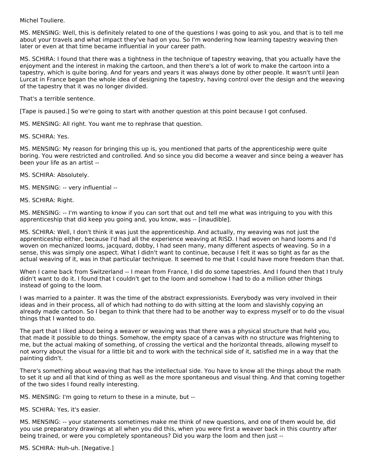#### Michel Touliere.

MS. MENSING: Well, this is definitely related to one of the questions I was going to ask you, and that is to tell me about your travels and what impact they've had on you. So I'm wondering how learning tapestry weaving then later or even at that time became influential in your career path.

MS. SCHIRA: I found that there was a tightness in the technique of tapestry weaving, that you actually have the enjoyment and the interest in making the cartoon, and then there's a lot of work to make the cartoon into a tapestry, which is quite boring. And for years and years it was always done by other people. It wasn't until Jean Lurcat in France began the whole idea of designing the tapestry, having control over the design and the weaving of the tapestry that it was no longer divided.

That's a terrible sentence.

[Tape is paused.] So we're going to start with another question at this point because I got confused.

MS. MENSING: All right. You want me to rephrase that question.

MS. SCHIRA: Yes.

MS. MENSING: My reason for bringing this up is, you mentioned that parts of the apprenticeship were quite boring. You were restricted and controlled. And so since you did become a weaver and since being a weaver has been your life as an artist --

#### MS. SCHIRA: Absolutely.

MS. MENSING: -- very influential --

MS. SCHIRA: Right.

MS. MENSING: -- I'm wanting to know if you can sort that out and tell me what was intriguing to you with this apprenticeship that did keep you going and, you know, was -- [inaudible].

MS. SCHIRA: Well, I don't think it was just the apprenticeship. And actually, my weaving was not just the apprenticeship either, because I'd had all the experience weaving at RISD. I had woven on hand looms and I'd woven on mechanized looms, jacquard, dobby, I had seen many, many different aspects of weaving. So in a sense, this was simply one aspect. What I didn't want to continue, because I felt it was so tight as far as the actual weaving of it, was in that particular technique. It seemed to me that I could have more freedom than that.

When I came back from Switzerland -- I mean from France, I did do some tapestries. And I found then that I truly didn't want to do it. I found that I couldn't get to the loom and somehow I had to do a million other things instead of going to the loom.

I was married to a painter. It was the time of the abstract expressionists. Everybody was very involved in their ideas and in their process, all of which had nothing to do with sitting at the loom and slavishly copying an already made cartoon. So I began to think that there had to be another way to express myself or to do the visual things that I wanted to do.

The part that I liked about being a weaver or weaving was that there was a physical structure that held you, that made it possible to do things. Somehow, the empty space of a canvas with no structure was frightening to me, but the actual making of something, of crossing the vertical and the horizontal threads, allowing myself to not worry about the visual for a little bit and to work with the technical side of it, satisfied me in a way that the painting didn't.

There's something about weaving that has the intellectual side. You have to know all the things about the math to set it up and all that kind of thing as well as the more spontaneous and visual thing. And that coming together of the two sides I found really interesting.

MS. MENSING: I'm going to return to these in a minute, but --

MS. SCHIRA: Yes, it's easier.

MS. MENSING: -- your statements sometimes make me think of new questions, and one of them would be, did you use preparatory drawings at all when you did this, when you were first a weaver back in this country after being trained, or were you completely spontaneous? Did you warp the loom and then just --

MS. SCHIRA: Huh-uh. [Negative.]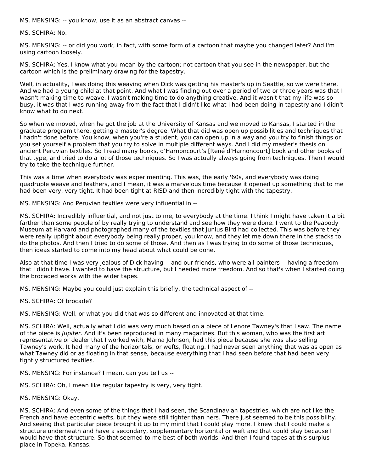MS. MENSING: -- you know, use it as an abstract canvas --

MS. SCHIRA: No.

MS. MENSING: -- or did you work, in fact, with some form of a cartoon that maybe you changed later? And I'm using cartoon loosely.

MS. SCHIRA: Yes, I know what you mean by the cartoon; not cartoon that you see in the newspaper, but the cartoon which is the preliminary drawing for the tapestry.

Well, in actuality, I was doing this weaving when Dick was getting his master's up in Seattle, so we were there. And we had a young child at that point. And what I was finding out over a period of two or three years was that I wasn't making time to weave. I wasn't making time to do anything creative. And it wasn't that my life was so busy, it was that I was running away from the fact that I didn't like what I had been doing in tapestry and I didn't know what to do next.

So when we moved, when he got the job at the University of Kansas and we moved to Kansas, I started in the graduate program there, getting a master's degree. What that did was open up possibilities and techniques that I hadn't done before. You know, when you're a student, you can open up in a way and you try to finish things or you set yourself a problem that you try to solve in multiple different ways. And I did my master's thesis on ancient Peruvian textiles. So I read many books, d'Harnoncourt's [René d'Harnoncourt] book and other books of that type, and tried to do a lot of those techniques. So I was actually always going from techniques. Then I would try to take the technique further.

This was a time when everybody was experimenting. This was, the early '60s, and everybody was doing quadruple weave and feathers, and I mean, it was a marvelous time because it opened up something that to me had been very, very tight. It had been tight at RISD and then incredibly tight with the tapestry.

MS. MENSING: And Peruvian textiles were very influential in --

MS. SCHIRA: Incredibly influential, and not just to me, to everybody at the time. I think I might have taken it a bit farther than some people of by really trying to understand and see how they were done. I went to the Peabody Museum at Harvard and photographed many of the textiles that Junius Bird had collected. This was before they were really uptight about everybody being really proper, you know, and they let me down there in the stacks to do the photos. And then I tried to do some of those. And then as I was trying to do some of those techniques, then ideas started to come into my head about what could be done.

Also at that time I was very jealous of Dick having -- and our friends, who were all painters -- having a freedom that I didn't have. I wanted to have the structure, but I needed more freedom. And so that's when I started doing the brocaded works with the wider tapes.

MS. MENSING: Maybe you could just explain this briefly, the technical aspect of --

MS. SCHIRA: Of brocade?

MS. MENSING: Well, or what you did that was so different and innovated at that time.

MS. SCHIRA: Well, actually what I did was very much based on a piece of Lenore Tawney's that I saw. The name of the piece is *Jupiter*. And it's been reproduced in many magazines. But this woman, who was the first art representative or dealer that I worked with, Marna Johnson, had this piece because she was also selling Tawney's work. It had many of the horizontals, or wefts, floating. I had never seen anything that was as open as what Tawney did or as floating in that sense, because everything that I had seen before that had been very tightly structured textiles.

MS. MENSING: For instance? I mean, can you tell us --

MS. SCHIRA: Oh, I mean like regular tapestry is very, very tight.

MS. MENSING: Okay.

MS. SCHIRA: And even some of the things that I had seen, the Scandinavian tapestries, which are not like the French and have eccentric wefts, but they were still tighter than hers. There just seemed to be this possibility. And seeing that particular piece brought it up to my mind that I could play more. I knew that I could make a structure underneath and have a secondary, supplementary horizontal or weft and that could play because I would have that structure. So that seemed to me best of both worlds. And then I found tapes at this surplus place in Topeka, Kansas.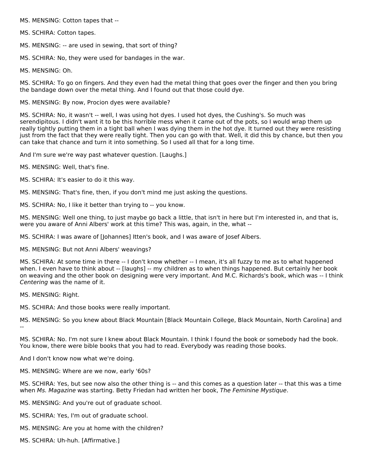MS. MENSING: Cotton tapes that --

MS. SCHIRA: Cotton tapes.

MS. MENSING: -- are used in sewing, that sort of thing?

MS. SCHIRA: No, they were used for bandages in the war.

MS. MENSING: Oh.

MS. SCHIRA: To go on fingers. And they even had the metal thing that goes over the finger and then you bring the bandage down over the metal thing. And I found out that those could dye.

MS. MENSING: By now, Procion dyes were available?

MS. SCHIRA: No, it wasn't -- well, I was using hot dyes. I used hot dyes, the Cushing's. So much was serendipitous. I didn't want it to be this horrible mess when it came out of the pots, so I would wrap them up really tightly putting them in a tight ball when I was dying them in the hot dye. It turned out they were resisting just from the fact that they were really tight. Then you can go with that. Well, it did this by chance, but then you can take that chance and turn it into something. So I used all that for a long time.

And I'm sure we're way past whatever question. [Laughs.]

- MS. MENSING: Well, that's fine.
- MS. SCHIRA: It's easier to do it this way.
- MS. MENSING: That's fine, then, if you don't mind me just asking the questions.
- MS. SCHIRA: No, I like it better than trying to -- you know.

MS. MENSING: Well one thing, to just maybe go back a little, that isn't in here but I'm interested in, and that is, were you aware of Anni Albers' work at this time? This was, again, in the, what --

MS. SCHIRA: I was aware of [Johannes] Itten's book, and I was aware of Josef Albers.

MS. MENSING: But not Anni Albers' weavings?

MS. SCHIRA: At some time in there -- I don't know whether -- I mean, it's all fuzzy to me as to what happened when. I even have to think about -- [laughs] -- my children as to when things happened. But certainly her book on weaving and the other book on designing were very important. And M.C. Richards's book, which was -- I think Centering was the name of it.

MS. MENSING: Right.

MS. SCHIRA: And those books were really important.

MS. MENSING: So you knew about Black Mountain [Black Mountain College, Black Mountain, North Carolina] and --

MS. SCHIRA: No. I'm not sure I knew about Black Mountain. I think I found the book or somebody had the book. You know, there were bible books that you had to read. Everybody was reading those books.

And I don't know now what we're doing.

MS. MENSING: Where are we now, early '60s?

MS. SCHIRA: Yes, but see now also the other thing is -- and this comes as a question later -- that this was a time when Ms. Magazine was starting. Betty Friedan had written her book, The Feminine Mystique.

MS. MENSING: And you're out of graduate school.

- MS. SCHIRA: Yes, I'm out of graduate school.
- MS. MENSING: Are you at home with the children?
- MS. SCHIRA: Uh-huh. [Affirmative.]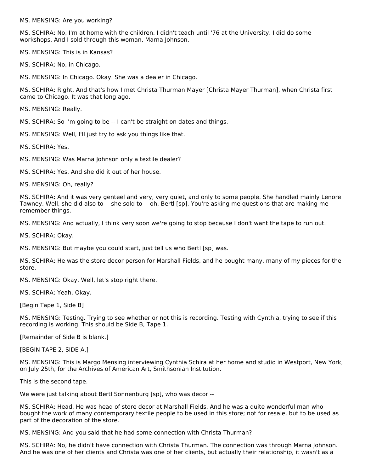MS. MENSING: Are you working?

MS. SCHIRA: No, I'm at home with the children. I didn't teach until '76 at the University. I did do some workshops. And I sold through this woman, Marna Johnson.

MS. MENSING: This is in Kansas?

MS. SCHIRA: No, in Chicago.

MS. MENSING: In Chicago. Okay. She was a dealer in Chicago.

MS. SCHIRA: Right. And that's how I met Christa Thurman Mayer [Christa Mayer Thurman], when Christa first came to Chicago. It was that long ago.

MS. MENSING: Really.

MS. SCHIRA: So I'm going to be -- I can't be straight on dates and things.

MS. MENSING: Well, I'll just try to ask you things like that.

MS. SCHIRA: Yes.

MS. MENSING: Was Marna Johnson only a textile dealer?

MS. SCHIRA: Yes. And she did it out of her house.

MS. MENSING: Oh, really?

MS. SCHIRA: And it was very genteel and very, very quiet, and only to some people. She handled mainly Lenore Tawney. Well, she did also to -- she sold to -- oh, Bertl [sp]. You're asking me questions that are making me remember things.

MS. MENSING: And actually, I think very soon we're going to stop because I don't want the tape to run out.

MS. SCHIRA: Okay.

MS. MENSING: But maybe you could start, just tell us who Bertl [sp] was.

MS. SCHIRA: He was the store decor person for Marshall Fields, and he bought many, many of my pieces for the store.

MS. MENSING: Okay. Well, let's stop right there.

MS. SCHIRA: Yeah. Okay.

[Begin Tape 1, Side B]

MS. MENSING: Testing. Trying to see whether or not this is recording. Testing with Cynthia, trying to see if this recording is working. This should be Side B, Tape 1.

[Remainder of Side B is blank.]

[BEGIN TAPE 2, SIDE A.]

MS. MENSING: This is Margo Mensing interviewing Cynthia Schira at her home and studio in Westport, New York, on July 25th, for the Archives of American Art, Smithsonian Institution.

This is the second tape.

We were just talking about Bertl Sonnenburg [sp], who was decor --

MS. SCHIRA: Head. He was head of store decor at Marshall Fields. And he was a quite wonderful man who bought the work of many contemporary textile people to be used in this store; not for resale, but to be used as part of the decoration of the store.

MS. MENSING: And you said that he had some connection with Christa Thurman?

MS. SCHIRA: No, he didn't have connection with Christa Thurman. The connection was through Marna Johnson. And he was one of her clients and Christa was one of her clients, but actually their relationship, it wasn't as a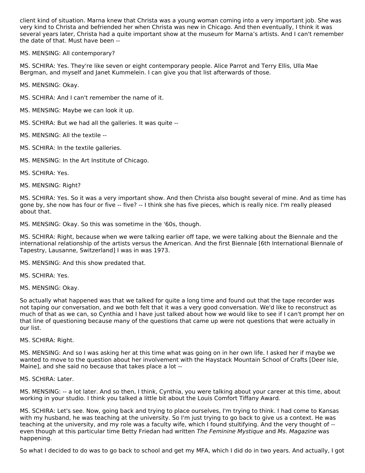client kind of situation. Marna knew that Christa was a young woman coming into a very important job. She was very kind to Christa and befriended her when Christa was new in Chicago. And then eventually, I think it was several years later, Christa had a quite important show at the museum for Marna's artists. And I can't remember the date of that. Must have been --

MS. MENSING: All contemporary?

MS. SCHIRA: Yes. They're like seven or eight contemporary people. Alice Parrot and Terry Ellis, Ulla Mae Bergman, and myself and Janet Kummelein. I can give you that list afterwards of those.

MS. MENSING: Okay.

- MS. SCHIRA: And I can't remember the name of it.
- MS. MENSING: Maybe we can look it up.
- MS. SCHIRA: But we had all the galleries. It was quite --
- MS. MENSING: All the textile --
- MS. SCHIRA: In the textile galleries.
- MS. MENSING: In the Art Institute of Chicago.

MS. SCHIRA: Yes.

MS. MENSING: Right?

MS. SCHIRA: Yes. So it was a very important show. And then Christa also bought several of mine. And as time has gone by, she now has four or five -- five? -- I think she has five pieces, which is really nice. I'm really pleased about that.

MS. MENSING: Okay. So this was sometime in the '60s, though.

MS. SCHIRA: Right, because when we were talking earlier off tape, we were talking about the Biennale and the international relationship of the artists versus the American. And the first Biennale [6th International Biennale of Tapestry, Lausanne, Switzerland] I was in was 1973.

MS. MENSING: And this show predated that.

MS. SCHIRA: Yes.

MS. MENSING: Okay.

So actually what happened was that we talked for quite a long time and found out that the tape recorder was not taping our conversation, and we both felt that it was a very good conversation. We'd like to reconstruct as much of that as we can, so Cynthia and I have just talked about how we would like to see if I can't prompt her on that line of questioning because many of the questions that came up were not questions that were actually in our list.

#### MS. SCHIRA: Right.

MS. MENSING: And so I was asking her at this time what was going on in her own life. I asked her if maybe we wanted to move to the question about her involvement with the Haystack Mountain School of Crafts [Deer Isle, Maine], and she said no because that takes place a lot --

MS. SCHIRA: Later.

MS. MENSING: -- a lot later. And so then, I think, Cynthia, you were talking about your career at this time, about working in your studio. I think you talked a little bit about the Louis Comfort Tiffany Award.

MS. SCHIRA: Let's see. Now, going back and trying to place ourselves, I'm trying to think. I had come to Kansas with my husband, he was teaching at the university. So I'm just trying to go back to give us a context. He was teaching at the university, and my role was a faculty wife, which I found stultifying. And the very thought of - even though at this particular time Betty Friedan had written The Feminine Mystique and Ms. Magazine was happening.

So what I decided to do was to go back to school and get my MFA, which I did do in two years. And actually, I got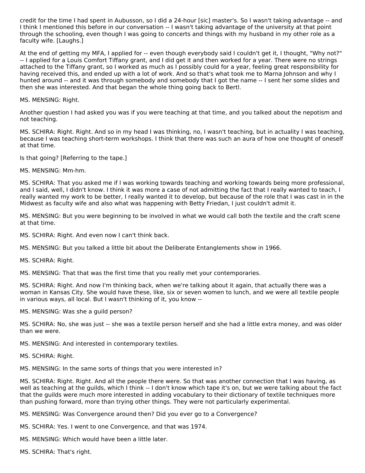credit for the time I had spent in Aubusson, so I did a 24-hour [sic] master's. So I wasn't taking advantage -- and I think I mentioned this before in our conversation -- I wasn't taking advantage of the university at that point through the schooling, even though I was going to concerts and things with my husband in my other role as a faculty wife. [Laughs.]

At the end of getting my MFA, I applied for -- even though everybody said I couldn't get it, I thought, "Why not?" -- I applied for a Louis Comfort Tiffany grant, and I did get it and then worked for a year. There were no strings attached to the Tiffany grant, so I worked as much as I possibly could for a year, feeling great responsibility for having received this, and ended up with a lot of work. And so that's what took me to Marna Johnson and why I hunted around -- and it was through somebody and somebody that I got the name -- I sent her some slides and then she was interested. And that began the whole thing going back to Bertl.

MS. MENSING: Right.

Another question I had asked you was if you were teaching at that time, and you talked about the nepotism and not teaching.

MS. SCHIRA: Right. Right. And so in my head I was thinking, no, I wasn't teaching, but in actuality I was teaching, because I was teaching short-term workshops. I think that there was such an aura of how one thought of oneself at that time.

Is that going? [Referring to the tape.]

MS. MENSING: Mm-hm.

MS. SCHIRA: That you asked me if I was working towards teaching and working towards being more professional, and I said, well, I didn't know. I think it was more a case of not admitting the fact that I really wanted to teach, I really wanted my work to be better, I really wanted it to develop, but because of the role that I was cast in in the Midwest as faculty wife and also what was happening with Betty Friedan, I just couldn't admit it.

MS. MENSING: But you were beginning to be involved in what we would call both the textile and the craft scene at that time.

MS. SCHIRA: Right. And even now I can't think back.

MS. MENSING: But you talked a little bit about the Deliberate Entanglements show in 1966.

MS. SCHIRA: Right.

MS. MENSING: That that was the first time that you really met your contemporaries.

MS. SCHIRA: Right. And now I'm thinking back, when we're talking about it again, that actually there was a woman in Kansas City. She would have these, like, six or seven women to lunch, and we were all textile people in various ways, all local. But I wasn't thinking of it, you know --

MS. MENSING: Was she a guild person?

MS. SCHIRA: No, she was just -- she was a textile person herself and she had a little extra money, and was older than we were.

MS. MENSING: And interested in contemporary textiles.

MS. SCHIRA: Right.

MS. MENSING: In the same sorts of things that you were interested in?

MS. SCHIRA: Right. Right. And all the people there were. So that was another connection that I was having, as well as teaching at the guilds, which I think -- I don't know which tape it's on, but we were talking about the fact that the guilds were much more interested in adding vocabulary to their dictionary of textile techniques more than pushing forward, more than trying other things. They were not particularly experimental.

MS. MENSING: Was Convergence around then? Did you ever go to a Convergence?

MS. SCHIRA: Yes. I went to one Convergence, and that was 1974.

MS. MENSING: Which would have been a little later.

MS. SCHIRA: That's right.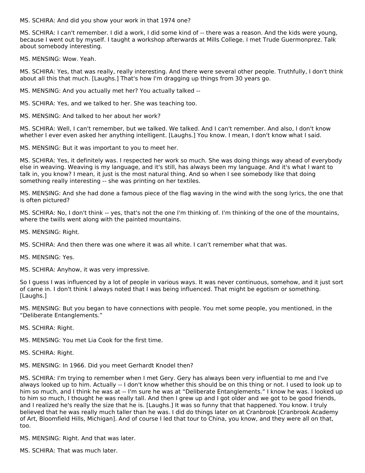MS. SCHIRA: And did you show your work in that 1974 one?

MS. SCHIRA: I can't remember. I did a work, I did some kind of -- there was a reason. And the kids were young, because I went out by myself. I taught a workshop afterwards at Mills College. I met Trude Guermonprez. Talk about somebody interesting.

MS. MENSING: Wow. Yeah.

MS. SCHIRA: Yes, that was really, really interesting. And there were several other people. Truthfully, I don't think about all this that much. [Laughs.] That's how I'm dragging up things from 30 years go.

MS. MENSING: And you actually met her? You actually talked --

MS. SCHIRA: Yes, and we talked to her. She was teaching too.

MS. MENSING: And talked to her about her work?

MS. SCHIRA: Well, I can't remember, but we talked. We talked. And I can't remember. And also, I don't know whether I ever even asked her anything intelligent. [Laughs.] You know. I mean, I don't know what I said.

MS. MENSING: But it was important to you to meet her.

MS. SCHIRA: Yes, it definitely was. I respected her work so much. She was doing things way ahead of everybody else in weaving. Weaving is my language, and it's still, has always been my language. And it's what I want to talk in, you know? I mean, it just is the most natural thing. And so when I see somebody like that doing something really interesting -- she was printing on her textiles.

MS. MENSING: And she had done a famous piece of the flag waving in the wind with the song lyrics, the one that is often pictured?

MS. SCHIRA: No, I don't think -- yes, that's not the one I'm thinking of. I'm thinking of the one of the mountains, where the twills went along with the painted mountains.

MS. MENSING: Right.

MS. SCHIRA: And then there was one where it was all white. I can't remember what that was.

MS. MENSING: Yes.

MS. SCHIRA: Anyhow, it was very impressive.

So I guess I was influenced by a lot of people in various ways. It was never continuous, somehow, and it just sort of came in. I don't think I always noted that I was being influenced. That might be egotism or something. [Laughs.]

MS. MENSING: But you began to have connections with people. You met some people, you mentioned, in the "Deliberate Entanglements."

MS. SCHIRA: Right.

MS. MENSING: You met Lia Cook for the first time.

MS. SCHIRA: Right.

MS. MENSING: In 1966. Did you meet Gerhardt Knodel then?

MS. SCHIRA: I'm trying to remember when I met Gery. Gery has always been very influential to me and I've always looked up to him. Actually -- I don't know whether this should be on this thing or not. I used to look up to him so much, and I think he was at -- I'm sure he was at "Deliberate Entanglements." I know he was. I looked up to him so much, I thought he was really tall. And then I grew up and I got older and we got to be good friends, and I realized he's really the size that he is. [Laughs.] It was so funny that that happened. You know. I truly believed that he was really much taller than he was. I did do things later on at Cranbrook [Cranbrook Academy of Art, Bloomfield Hills, Michigan]. And of course I led that tour to China, you know, and they were all on that, too.

MS. MENSING: Right. And that was later.

MS. SCHIRA: That was much later.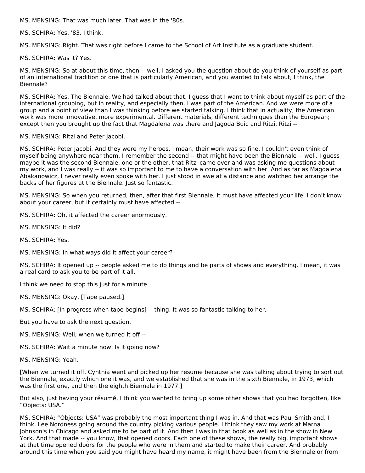MS. MENSING: That was much later. That was in the '80s.

MS. SCHIRA: Yes, '83, I think.

MS. MENSING: Right. That was right before I came to the School of Art Institute as a graduate student.

MS. SCHIRA: Was it? Yes.

MS. MENSING: So at about this time, then -- well, I asked you the question about do you think of yourself as part of an international tradition or one that is particularly American, and you wanted to talk about, I think, the Biennale?

MS. SCHIRA: Yes. The Biennale. We had talked about that. I guess that I want to think about myself as part of the international grouping, but in reality, and especially then, I was part of the American. And we were more of a group and a point of view than I was thinking before we started talking. I think that in actuality, the American work was more innovative, more experimental. Different materials, different techniques than the European; except then you brought up the fact that Magdalena was there and Jagoda Buic and Ritzi, Ritzi --

MS. MENSING: Ritzi and Peter Jacobi.

MS. SCHIRA: Peter Jacobi. And they were my heroes. I mean, their work was so fine. I couldn't even think of myself being anywhere near them. I remember the second -- that might have been the Biennale -- well, I guess maybe it was the second Biennale, one or the other, that Ritzi came over and was asking me questions about my work, and I was really -- it was so important to me to have a conversation with her. And as far as Magdalena Abakanowicz, I never really even spoke with her. I just stood in awe at a distance and watched her arrange the backs of her figures at the Biennale. Just so fantastic.

MS. MENSING: So when you returned, then, after that first Biennale, it must have affected your life. I don't know about your career, but it certainly must have affected --

MS. SCHIRA: Oh, it affected the career enormously.

- MS. MENSING: It did?
- MS. SCHIRA: Yes.
- MS. MENSING: In what ways did it affect your career?

MS. SCHIRA: It opened up -- people asked me to do things and be parts of shows and everything. I mean, it was a real card to ask you to be part of it all.

I think we need to stop this just for a minute.

MS. MENSING: Okay. [Tape paused.]

MS. SCHIRA: [In progress when tape begins] -- thing. It was so fantastic talking to her.

- But you have to ask the next question.
- MS. MENSING: Well, when we turned it off --
- MS. SCHIRA: Wait a minute now. Is it going now?
- MS. MENSING: Yeah.

[When we turned it off, Cynthia went and picked up her resume because she was talking about trying to sort out the Biennale, exactly which one it was, and we established that she was in the sixth Biennale, in 1973, which was the first one, and then the eighth Biennale in 1977.]

But also, just having your résumé, I think you wanted to bring up some other shows that you had forgotten, like "Objects: USA."

MS. SCHIRA: "Objects: USA" was probably the most important thing I was in. And that was Paul Smith and, I think, Lee Nordness going around the country picking various people. I think they saw my work at Marna Johnson's in Chicago and asked me to be part of it. And then I was in that book as well as in the show in New York. And that made -- you know, that opened doors. Each one of these shows, the really big, important shows at that time opened doors for the people who were in them and started to make their career. And probably around this time when you said you might have heard my name, it might have been from the Biennale or from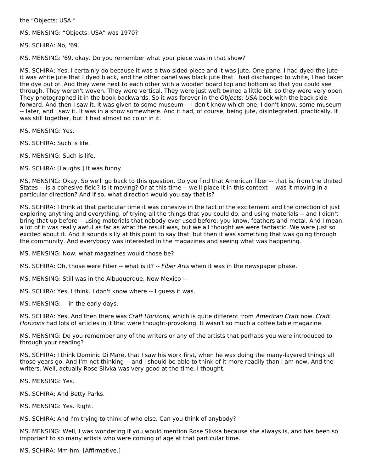the "Objects: USA."

MS. MENSING: "Objects: USA" was 1970?

MS. SCHIRA: No, '69.

MS. MENSING: '69, okay. Do you remember what your piece was in that show?

MS. SCHIRA: Yes, I certainly do because it was a two-sided piece and it was jute. One panel I had dyed the jute - it was white jute that I dyed black, and the other panel was black jute that I had discharged to white, I had taken the dye out of. And they were next to each other with a wooden board top and bottom so that you could see through. They weren't woven. They were vertical. They were just weft twined a little bit, so they were very open. They photographed it in the book backwards. So it was forever in the Objects: USA book with the back side forward. And then I saw it. It was given to some museum -- I don't know which one, I don't know, some museum -- later, and I saw it. It was in a show somewhere. And it had, of course, being jute, disintegrated, practically. It was still together, but it had almost no color in it.

MS. MENSING: Yes.

MS. SCHIRA: Such is life.

- MS. MENSING: Such is life.
- MS. SCHIRA: [Laughs.] It was funny.

MS. MENSING: Okay. So we'll go back to this question. Do you find that American fiber -- that is, from the United States -- is a cohesive field? Is it moving? Or at this time -- we'll place it in this context -- was it moving in a particular direction? And if so, what direction would you say that is?

MS. SCHIRA: I think at that particular time it was cohesive in the fact of the excitement and the direction of just exploring anything and everything, of trying all the things that you could do, and using materials -- and I didn't bring that up before -- using materials that nobody ever used before; you know, feathers and metal. And I mean, a lot of it was really awful as far as what the result was, but we all thought we were fantastic. We were just so excited about it. And it sounds silly at this point to say that, but then it was something that was going through the community. And everybody was interested in the magazines and seeing what was happening.

MS. MENSING: Now, what magazines would those be?

MS. SCHIRA: Oh, those were Fiber -- what is it? -- Fiber Arts when it was in the newspaper phase.

- MS. MENSING: Still was in the Albuquerque, New Mexico --
- MS. SCHIRA: Yes, I think. I don't know where -- I guess it was.
- MS. MENSING: -- in the early days.

MS. SCHIRA: Yes. And then there was Craft Horizons, which is quite different from American Craft now. Craft Horizons had lots of articles in it that were thought-provoking. It wasn't so much a coffee table magazine.

MS. MENSING: Do you remember any of the writers or any of the artists that perhaps you were introduced to through your reading?

MS. SCHIRA: I think Dominic Di Mare, that I saw his work first, when he was doing the many-layered things all those years go. And I'm not thinking -- and I should be able to think of it more readily than I am now. And the writers. Well, actually Rose Slivka was very good at the time, I thought.

MS. MENSING: Yes.

- MS. SCHIRA: And Betty Parks.
- MS. MENSING: Yes. Right.

MS. SCHIRA: And I'm trying to think of who else. Can you think of anybody?

MS. MENSING: Well, I was wondering if you would mention Rose Slivka because she always is, and has been so important to so many artists who were coming of age at that particular time.

MS. SCHIRA: Mm-hm. [Affirmative.]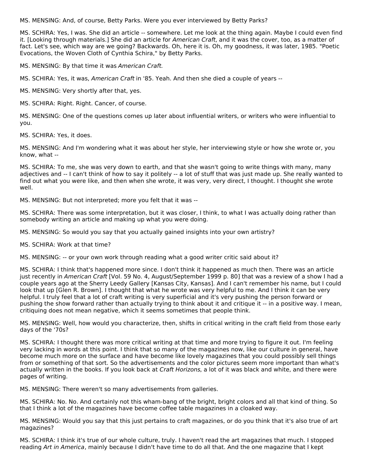MS. MENSING: And, of course, Betty Parks. Were you ever interviewed by Betty Parks?

MS. SCHIRA: Yes, I was. She did an article -- somewhere. Let me look at the thing again. Maybe I could even find it. [Looking through materials.] She did an article for American Craft, and it was the cover, too, as a matter of fact. Let's see, which way are we going? Backwards. Oh, here it is. Oh, my goodness, it was later, 1985. "Poetic Evocations, the Woven Cloth of Cynthia Schira," by Betty Parks.

MS. MENSING: By that time it was American Craft.

MS. SCHIRA: Yes, it was, American Craft in '85. Yeah. And then she died a couple of years --

MS. MENSING: Very shortly after that, yes.

MS. SCHIRA: Right. Right. Cancer, of course.

MS. MENSING: One of the questions comes up later about influential writers, or writers who were influential to you.

MS. SCHIRA: Yes, it does.

MS. MENSING: And I'm wondering what it was about her style, her interviewing style or how she wrote or, you know, what --

MS. SCHIRA: To me, she was very down to earth, and that she wasn't going to write things with many, many adjectives and -- I can't think of how to say it politely -- a lot of stuff that was just made up. She really wanted to find out what you were like, and then when she wrote, it was very, very direct, I thought. I thought she wrote well.

MS. MENSING: But not interpreted; more you felt that it was --

MS. SCHIRA: There was some interpretation, but it was closer, I think, to what I was actually doing rather than somebody writing an article and making up what you were doing.

MS. MENSING: So would you say that you actually gained insights into your own artistry?

MS. SCHIRA: Work at that time?

MS. MENSING: -- or your own work through reading what a good writer critic said about it?

MS. SCHIRA: I think that's happened more since. I don't think it happened as much then. There was an article just recently in American Craft [Vol. 59 No. 4, August/September 1999 p. 80] that was a review of a show I had a couple years ago at the Sherry Leedy Gallery [Kansas City, Kansas]. And I can't remember his name, but I could look that up [Glen R. Brown]. I thought that what he wrote was very helpful to me. And I think it can be very helpful. I truly feel that a lot of craft writing is very superficial and it's very pushing the person forward or pushing the show forward rather than actually trying to think about it and critique it -- in a positive way. I mean, critiquing does not mean negative, which it seems sometimes that people think.

MS. MENSING: Well, how would you characterize, then, shifts in critical writing in the craft field from those early days of the '70s?

MS. SCHIRA: I thought there was more critical writing at that time and more trying to figure it out. I'm feeling very lacking in words at this point. I think that so many of the magazines now, like our culture in general, have become much more on the surface and have become like lovely magazines that you could possibly sell things from or something of that sort. So the advertisements and the color pictures seem more important than what's actually written in the books. If you look back at Craft Horizons, a lot of it was black and white, and there were pages of writing.

MS. MENSING: There weren't so many advertisements from galleries.

MS. SCHIRA: No. No. And certainly not this wham-bang of the bright, bright colors and all that kind of thing. So that I think a lot of the magazines have become coffee table magazines in a cloaked way.

MS. MENSING: Would you say that this just pertains to craft magazines, or do you think that it's also true of art magazines?

MS. SCHIRA: I think it's true of our whole culture, truly. I haven't read the art magazines that much. I stopped reading Art in America, mainly because I didn't have time to do all that. And the one magazine that I kept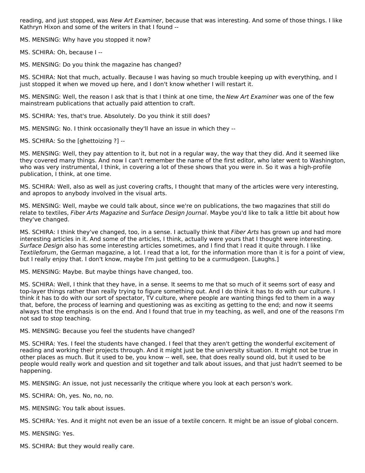reading, and just stopped, was New Art Examiner, because that was interesting. And some of those things. I like Kathryn Hixon and some of the writers in that I found --

MS. MENSING: Why have you stopped it now?

MS. SCHIRA: Oh, because I --

MS. MENSING: Do you think the magazine has changed?

MS. SCHIRA: Not that much, actually. Because I was having so much trouble keeping up with everything, and I just stopped it when we moved up here, and I don't know whether I will restart it.

MS. MENSING: Well, the reason I ask that is that I think at one time, the New Art Examiner was one of the few mainstream publications that actually paid attention to craft.

MS. SCHIRA: Yes, that's true. Absolutely. Do you think it still does?

MS. MENSING: No. I think occasionally they'll have an issue in which they --

MS. SCHIRA: So the [ghettoizing ?] --

MS. MENSING: Well, they pay attention to it, but not in a regular way, the way that they did. And it seemed like they covered many things. And now I can't remember the name of the first editor, who later went to Washington, who was very instrumental, I think, in covering a lot of these shows that you were in. So it was a high-profile publication, I think, at one time.

MS. SCHIRA: Well, also as well as just covering crafts, I thought that many of the articles were very interesting, and apropos to anybody involved in the visual arts.

MS. MENSING: Well, maybe we could talk about, since we're on publications, the two magazines that still do relate to textiles, Fiber Arts Magazine and Surface Design Journal. Maybe you'd like to talk a little bit about how they've changed.

MS. SCHIRA: I think they've changed, too, in a sense. I actually think that Fiber Arts has grown up and had more interesting articles in it. And some of the articles, I think, actually were yours that I thought were interesting. Surface Design also has some interesting articles sometimes, and I find that I read it quite through. I like Textileforum, the German magazine, a lot. I read that a lot, for the information more than it is for a point of view, but I really enjoy that. I don't know, maybe I'm just getting to be a curmudgeon. [Laughs.]

MS. MENSING: Maybe. But maybe things have changed, too.

MS. SCHIRA: Well, I think that they have, in a sense. It seems to me that so much of it seems sort of easy and top-layer things rather than really trying to figure something out. And I do think it has to do with our culture. I think it has to do with our sort of spectator, TV culture, where people are wanting things fed to them in a way that, before, the process of learning and questioning was as exciting as getting to the end; and now it seems always that the emphasis is on the end. And I found that true in my teaching, as well, and one of the reasons I'm not sad to stop teaching.

MS. MENSING: Because you feel the students have changed?

MS. SCHIRA: Yes. I feel the students have changed. I feel that they aren't getting the wonderful excitement of reading and working their projects through. And it might just be the university situation. It might not be true in other places as much. But it used to be, you know -- well, see, that does really sound old, but it used to be people would really work and question and sit together and talk about issues, and that just hadn't seemed to be happening.

MS. MENSING: An issue, not just necessarily the critique where you look at each person's work.

MS. SCHIRA: Oh, yes. No, no, no.

MS. MENSING: You talk about issues.

MS. SCHIRA: Yes. And it might not even be an issue of a textile concern. It might be an issue of global concern.

MS. MENSING: Yes.

MS. SCHIRA: But they would really care.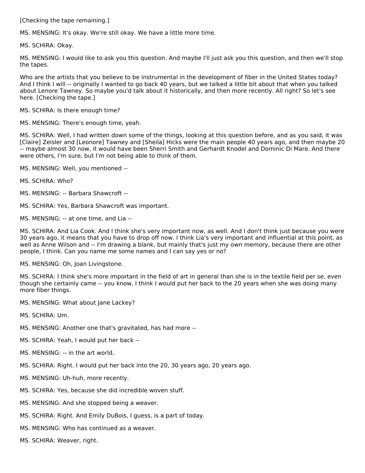[Checking the tape remaining.]

MS. MENSING: It's okay. We're still okay. We have a little more time.

MS. SCHIRA: Okay.

MS. MENSING: I would like to ask you this question. And maybe I'll just ask you this question, and then we'll stop the tapes.

Who are the artists that you believe to be instrumental in the development of fiber in the United States today? And I think I will -- originally I wanted to go back 40 years, but we talked a little bit about that when you talked about Lenore Tawney. So maybe you'd talk about it historically, and then more recently. All right? So let's see here. [Checking the tape.]

MS. SCHIRA: Is there enough time?

MS. MENSING: There's enough time, yeah.

MS. SCHIRA: Well, I had written down some of the things, looking at this question before, and as you said, it was [Claire] Zeisler and [Leonore] Tawney and [Sheila] Hicks were the main people 40 years ago, and then maybe 20 -- maybe almost 30 now, it would have been Sherri Smith and Gerhardt Knodel and Dominic Di Mare. And there were others, I'm sure, but I'm not being able to think of them.

MS. MENSING: Well, you mentioned --

```
MS. SCHIRA: Who?
```
MS. MENSING: -- Barbara Shawcroft --

MS. SCHIRA: Yes, Barbara Shawcroft was important.

MS. MENSING: -- at one time, and Lia --

MS. SCHIRA: And Lia Cook. And I think she's very important now, as well. And I don't think just because you were 30 years ago, it means that you have to drop off now. I think Lia's very important and influential at this point, as well as Anne Wilson and -- I'm drawing a blank, but mainly that's just my own memory, because there are other people, I think. Can you name me some names and I can say yes or no?

MS. MENSING: Oh, Joan Livingstone.

MS. SCHIRA: I think she's more important in the field of art in general than she is in the textile field per se, even though she certainly came -- you know, I think I would put her back to the 20 years when she was doing many more fiber things.

MS. MENSING: What about Jane Lackey?

MS. SCHIRA: Um.

MS. MENSING: Another one that's gravitated, has had more --

- MS. SCHIRA: Yeah, I would put her back --
- MS. MENSING: -- in the art world.
- MS. SCHIRA: Right. I would put her back into the 20, 30 years ago, 20 years ago.
- MS. MENSING: Uh-huh, more recently.
- MS. SCHIRA: Yes, because she did incredible woven stuff.
- MS. MENSING: And she stopped being a weaver.
- MS. SCHIRA: Right. And Emily DuBois, I guess, is a part of today.
- MS. MENSING: Who has continued as a weaver.
- MS. SCHIRA: Weaver, right.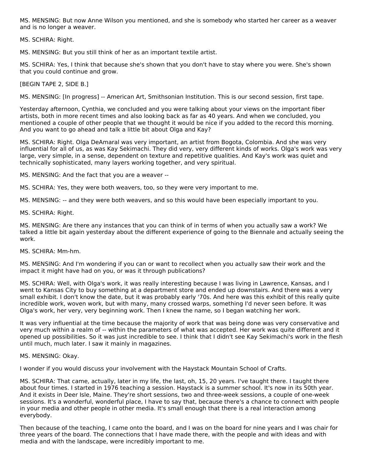MS. MENSING: But now Anne Wilson you mentioned, and she is somebody who started her career as a weaver and is no longer a weaver.

MS. SCHIRA: Right.

MS. MENSING: But you still think of her as an important textile artist.

MS. SCHIRA: Yes, I think that because she's shown that you don't have to stay where you were. She's shown that you could continue and grow.

[BEGIN TAPE 2, SIDE B.]

MS. MENSING: [In progress] -- American Art, Smithsonian Institution. This is our second session, first tape.

Yesterday afternoon, Cynthia, we concluded and you were talking about your views on the important fiber artists, both in more recent times and also looking back as far as 40 years. And when we concluded, you mentioned a couple of other people that we thought it would be nice if you added to the record this morning. And you want to go ahead and talk a little bit about Olga and Kay?

MS. SCHIRA: Right. Olga DeAmaral was very important, an artist from Bogota, Colombia. And she was very influential for all of us, as was Kay Sekimachi. They did very, very different kinds of works. Olga's work was very large, very simple, in a sense, dependent on texture and repetitive qualities. And Kay's work was quiet and technically sophisticated, many layers working together, and very spiritual.

MS. MENSING: And the fact that you are a weaver --

MS. SCHIRA: Yes, they were both weavers, too, so they were very important to me.

MS. MENSING: -- and they were both weavers, and so this would have been especially important to you.

MS. SCHIRA: Right.

MS. MENSING: Are there any instances that you can think of in terms of when you actually saw a work? We talked a little bit again yesterday about the different experience of going to the Biennale and actually seeing the work.

MS. SCHIRA: Mm-hm.

MS. MENSING: And I'm wondering if you can or want to recollect when you actually saw their work and the impact it might have had on you, or was it through publications?

MS. SCHIRA: Well, with Olga's work, it was really interesting because I was living in Lawrence, Kansas, and I went to Kansas City to buy something at a department store and ended up downstairs. And there was a very small exhibit. I don't know the date, but it was probably early '70s. And here was this exhibit of this really quite incredible work, woven work, but with many, many crossed warps, something I'd never seen before. It was Olga's work, her very, very beginning work. Then I knew the name, so I began watching her work.

It was very influential at the time because the majority of work that was being done was very conservative and very much within a realm of -- within the parameters of what was accepted. Her work was quite different and it opened up possibilities. So it was just incredible to see. I think that I didn't see Kay Sekimachi's work in the flesh until much, much later. I saw it mainly in magazines.

MS. MENSING: Okay.

I wonder if you would discuss your involvement with the Haystack Mountain School of Crafts.

MS. SCHIRA: That came, actually, later in my life, the last, oh, 15, 20 years. I've taught there. I taught there about four times. I started in 1976 teaching a session. Haystack is a summer school. It's now in its 50th year. And it exists in Deer Isle, Maine. They're short sessions, two and three-week sessions, a couple of one-week sessions. It's a wonderful, wonderful place, I have to say that, because there's a chance to connect with people in your media and other people in other media. It's small enough that there is a real interaction among everybody.

Then because of the teaching, I came onto the board, and I was on the board for nine years and I was chair for three years of the board. The connections that I have made there, with the people and with ideas and with media and with the landscape, were incredibly important to me.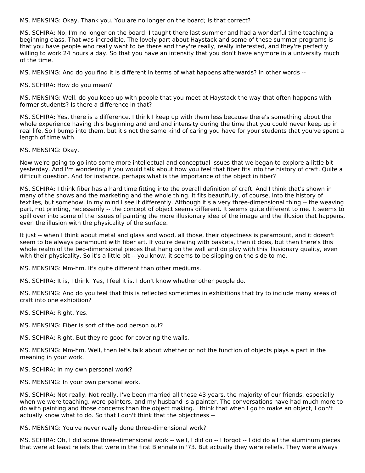MS. MENSING: Okay. Thank you. You are no longer on the board; is that correct?

MS. SCHIRA: No, I'm no longer on the board. I taught there last summer and had a wonderful time teaching a beginning class. That was incredible. The lovely part about Haystack and some of these summer programs is that you have people who really want to be there and they're really, really interested, and they're perfectly willing to work 24 hours a day. So that you have an intensity that you don't have anymore in a university much of the time.

MS. MENSING: And do you find it is different in terms of what happens afterwards? In other words --

MS. SCHIRA: How do you mean?

MS. MENSING: Well, do you keep up with people that you meet at Haystack the way that often happens with former students? Is there a difference in that?

MS. SCHIRA: Yes, there is a difference. I think I keep up with them less because there's something about the whole experience having this beginning and end and intensity during the time that you could never keep up in real life. So I bump into them, but it's not the same kind of caring you have for your students that you've spent a length of time with.

MS. MENSING: Okay.

Now we're going to go into some more intellectual and conceptual issues that we began to explore a little bit yesterday. And I'm wondering if you would talk about how you feel that fiber fits into the history of craft. Quite a difficult question. And for instance, perhaps what is the importance of the object in fiber?

MS. SCHIRA: I think fiber has a hard time fitting into the overall definition of craft. And I think that's shown in many of the shows and the marketing and the whole thing. It fits beautifully, of course, into the history of textiles, but somehow, in my mind I see it differently. Although it's a very three-dimensional thing -- the weaving part, not printing, necessarily -- the concept of object seems different. It seems quite different to me. It seems to spill over into some of the issues of painting the more illusionary idea of the image and the illusion that happens, even the illusion with the physicality of the surface.

It just -- when I think about metal and glass and wood, all those, their objectness is paramount, and it doesn't seem to be always paramount with fiber art. If you're dealing with baskets, then it does, but then there's this whole realm of the two-dimensional pieces that hang on the wall and do play with this illusionary quality, even with their physicality. So it's a little bit -- you know, it seems to be slipping on the side to me.

MS. MENSING: Mm-hm. It's quite different than other mediums.

MS. SCHIRA: It is, I think. Yes, I feel it is. I don't know whether other people do.

MS. MENSING: And do you feel that this is reflected sometimes in exhibitions that try to include many areas of craft into one exhibition?

MS. SCHIRA: Right. Yes.

MS. MENSING: Fiber is sort of the odd person out?

MS. SCHIRA: Right. But they're good for covering the walls.

MS. MENSING: Mm-hm. Well, then let's talk about whether or not the function of objects plays a part in the meaning in your work.

MS. SCHIRA: In my own personal work?

MS. MENSING: In your own personal work.

MS. SCHIRA: Not really. Not really. I've been married all these 43 years, the majority of our friends, especially when we were teaching, were painters, and my husband is a painter. The conversations have had much more to do with painting and those concerns than the object making. I think that when I go to make an object, I don't actually know what to do. So that I don't think that the objectness --

MS. MENSING: You've never really done three-dimensional work?

MS. SCHIRA: Oh, I did some three-dimensional work -- well, I did do -- I forgot -- I did do all the aluminum pieces that were at least reliefs that were in the first Biennale in '73. But actually they were reliefs. They were always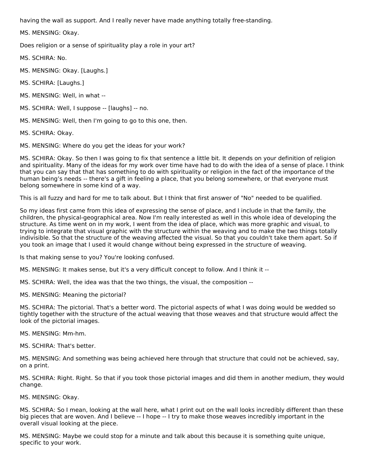having the wall as support. And I really never have made anything totally free-standing.

MS. MENSING: Okay.

Does religion or a sense of spirituality play a role in your art?

MS. SCHIRA: No.

MS. MENSING: Okay. [Laughs.]

MS. SCHIRA: [Laughs.]

- MS. MENSING: Well, in what --
- MS. SCHIRA: Well, I suppose -- [laughs] -- no.

MS. MENSING: Well, then I'm going to go to this one, then.

MS. SCHIRA: Okay.

MS. MENSING: Where do you get the ideas for your work?

MS. SCHIRA: Okay. So then I was going to fix that sentence a little bit. It depends on your definition of religion and spirituality. Many of the ideas for my work over time have had to do with the idea of a sense of place. I think that you can say that that has something to do with spirituality or religion in the fact of the importance of the human being's needs -- there's a gift in feeling a place, that you belong somewhere, or that everyone must belong somewhere in some kind of a way.

This is all fuzzy and hard for me to talk about. But I think that first answer of "No" needed to be qualified.

So my ideas first came from this idea of expressing the sense of place, and I include in that the family, the children, the physical-geographical area. Now I'm really interested as well in this whole idea of developing the structure. As time went on in my work, I went from the idea of place, which was more graphic and visual, to trying to integrate that visual graphic with the structure within the weaving and to make the two things totally indivisible. So that the structure of the weaving affected the visual. So that you couldn't take them apart. So if you took an image that I used it would change without being expressed in the structure of weaving.

Is that making sense to you? You're looking confused.

MS. MENSING: It makes sense, but it's a very difficult concept to follow. And I think it --

MS. SCHIRA: Well, the idea was that the two things, the visual, the composition --

MS. MENSING: Meaning the pictorial?

MS. SCHIRA: The pictorial. That's a better word. The pictorial aspects of what I was doing would be wedded so tightly together with the structure of the actual weaving that those weaves and that structure would affect the look of the pictorial images.

MS. MENSING: Mm-hm.

MS. SCHIRA: That's better.

MS. MENSING: And something was being achieved here through that structure that could not be achieved, say, on a print.

MS. SCHIRA: Right. Right. So that if you took those pictorial images and did them in another medium, they would change.

MS. MENSING: Okay.

MS. SCHIRA: So I mean, looking at the wall here, what I print out on the wall looks incredibly different than these big pieces that are woven. And I believe -- I hope -- I try to make those weaves incredibly important in the overall visual looking at the piece.

MS. MENSING: Maybe we could stop for a minute and talk about this because it is something quite unique, specific to your work.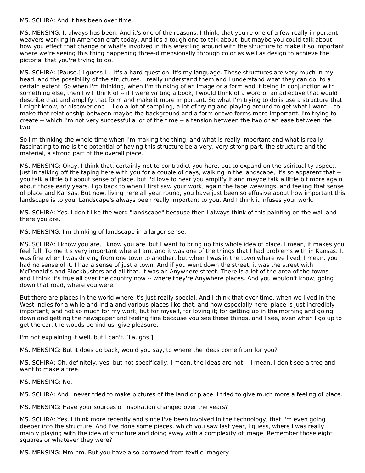MS. SCHIRA: And it has been over time.

MS. MENSING: It always has been. And it's one of the reasons, I think, that you're one of a few really important weavers working in American craft today. And it's a tough one to talk about, but maybe you could talk about how you effect that change or what's involved in this wrestling around with the structure to make it so important where we're seeing this thing happening three-dimensionally through color as well as design to achieve the pictorial that you're trying to do.

MS. SCHIRA: [Pause.] I guess I -- it's a hard question. It's my language. These structures are very much in my head, and the possibility of the structures. I really understand them and I understand what they can do, to a certain extent. So when I'm thinking, when I'm thinking of an image or a form and it being in conjunction with something else, then I will think of -- if I were writing a book, I would think of a word or an adjective that would describe that and amplify that form and make it more important. So what I'm trying to do is use a structure that I might know, or discover one -- I do a lot of sampling, a lot of trying and playing around to get what I want -- to make that relationship between maybe the background and a form or two forms more important. I'm trying to create -- which I'm not very successful a lot of the time -- a tension between the two or an ease between the two.

So I'm thinking the whole time when I'm making the thing, and what is really important and what is really fascinating to me is the potential of having this structure be a very, very strong part, the structure and the material, a strong part of the overall piece.

MS. MENSING: Okay. I think that, certainly not to contradict you here, but to expand on the spirituality aspect, just in talking off the taping here with you for a couple of days, walking in the landscape, it's so apparent that - you talk a little bit about sense of place, but I'd love to hear you amplify it and maybe talk a little bit more again about those early years. I go back to when I first saw your work, again the tape weavings, and feeling that sense of place and Kansas. But now, living here all year round, you have just been so effusive about how important this landscape is to you. Landscape's always been really important to you. And I think it infuses your work.

MS. SCHIRA: Yes. I don't like the word "landscape" because then I always think of this painting on the wall and there you are.

MS. MENSING: I'm thinking of landscape in a larger sense.

MS. SCHIRA: I know you are, I know you are, but I want to bring up this whole idea of place. I mean, it makes you feel full. To me it's very important where I am, and it was one of the things that I had problems with in Kansas. It was fine when I was driving from one town to another, but when I was in the town where we lived, I mean, you had no sense of it. I had a sense of just a town. And if you went down the street, it was the street with McDonald's and Blockbusters and all that. It was an Anywhere street. There is a lot of the area of the towns - and I think it's true all over the country now -- where they're Anywhere places. And you wouldn't know, going down that road, where you were.

But there are places in the world where it's just really special. And I think that over time, when we lived in the West Indies for a while and India and various places like that, and now especially here, place is just incredibly important; and not so much for my work, but for myself, for loving it; for getting up in the morning and going down and getting the newspaper and feeling fine because you see these things, and I see, even when I go up to get the car, the woods behind us, give pleasure.

I'm not explaining it well, but I can't. [Laughs.]

MS. MENSING: But it does go back, would you say, to where the ideas come from for you?

MS. SCHIRA: Oh, definitely, yes, but not specifically. I mean, the ideas are not -- I mean, I don't see a tree and want to make a tree.

MS. MENSING: No.

MS. SCHIRA: And I never tried to make pictures of the land or place. I tried to give much more a feeling of place.

MS. MENSING: Have your sources of inspiration changed over the years?

MS. SCHIRA: Yes. I think more recently and since I've been involved in the technology, that I'm even going deeper into the structure. And I've done some pieces, which you saw last year, I guess, where I was really mainly playing with the idea of structure and doing away with a complexity of image. Remember those eight squares or whatever they were?

MS. MENSING: Mm-hm. But you have also borrowed from textile imagery --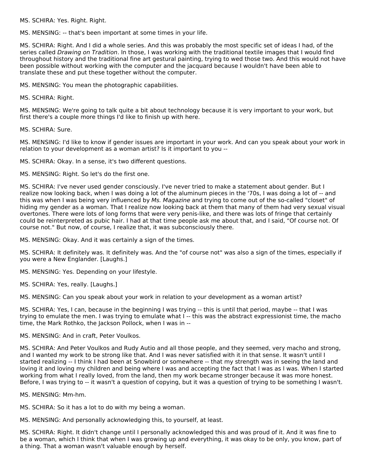MS. SCHIRA: Yes. Right. Right.

MS. MENSING: -- that's been important at some times in your life.

MS. SCHIRA: Right. And I did a whole series. And this was probably the most specific set of ideas I had, of the series called Drawing on Tradition. In those, I was working with the traditional textile images that I would find throughout history and the traditional fine art gestural painting, trying to wed those two. And this would not have been possible without working with the computer and the jacquard because I wouldn't have been able to translate these and put these together without the computer.

MS. MENSING: You mean the photographic capabilities.

MS. SCHIRA: Right.

MS. MENSING: We're going to talk quite a bit about technology because it is very important to your work, but first there's a couple more things I'd like to finish up with here.

MS. SCHIRA: Sure.

MS. MENSING: I'd like to know if gender issues are important in your work. And can you speak about your work in relation to your development as a woman artist? Is it important to you --

MS. SCHIRA: Okay. In a sense, it's two different questions.

MS. MENSING: Right. So let's do the first one.

MS. SCHIRA: I've never used gender consciously. I've never tried to make a statement about gender. But I realize now looking back, when I was doing a lot of the aluminum pieces in the '70s, I was doing a lot of -- and this was when I was being very influenced by Ms. Magazine and trying to come out of the so-called "closet" of hiding my gender as a woman. That I realize now looking back at them that many of them had very sexual visual overtones. There were lots of long forms that were very penis-like, and there was lots of fringe that certainly could be reinterpreted as pubic hair. I had at that time people ask me about that, and I said, "Of course not. Of course not." But now, of course, I realize that, it was subconsciously there.

MS. MENSING: Okay. And it was certainly a sign of the times.

MS. SCHIRA: It definitely was. It definitely was. And the "of course not" was also a sign of the times, especially if you were a New Englander. [Laughs.]

MS. MENSING: Yes. Depending on your lifestyle.

MS. SCHIRA: Yes, really. [Laughs.]

MS. MENSING: Can you speak about your work in relation to your development as a woman artist?

MS. SCHIRA: Yes, I can, because in the beginning I was trying -- this is until that period, maybe -- that I was trying to emulate the men. I was trying to emulate what I -- this was the abstract expressionist time, the macho time, the Mark Rothko, the Jackson Pollock, when I was in --

MS. MENSING: And in craft, Peter Voulkos.

MS. SCHIRA: And Peter Voulkos and Rudy Autio and all those people, and they seemed, very macho and strong, and I wanted my work to be strong like that. And I was never satisfied with it in that sense. It wasn't until I started realizing -- I think I had been at Snowbird or somewhere -- that my strength was in seeing the land and loving it and loving my children and being where I was and accepting the fact that I was as I was. When I started working from what I really loved, from the land, then my work became stronger because it was more honest. Before, I was trying to -- it wasn't a question of copying, but it was a question of trying to be something I wasn't.

MS. MENSING: Mm-hm.

MS. SCHIRA: So it has a lot to do with my being a woman.

MS. MENSING: And personally acknowledging this, to yourself, at least.

MS. SCHIRA: Right. It didn't change until I personally acknowledged this and was proud of it. And it was fine to be a woman, which I think that when I was growing up and everything, it was okay to be only, you know, part of a thing. That a woman wasn't valuable enough by herself.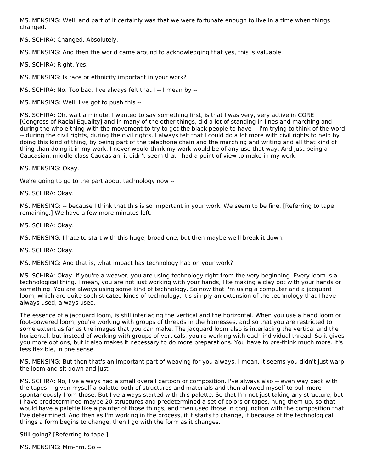MS. MENSING: Well, and part of it certainly was that we were fortunate enough to live in a time when things changed.

MS. SCHIRA: Changed. Absolutely.

MS. MENSING: And then the world came around to acknowledging that yes, this is valuable.

MS. SCHIRA: Right. Yes.

MS. MENSING: Is race or ethnicity important in your work?

MS. SCHIRA: No. Too bad. I've always felt that I -- I mean by --

MS. MENSING: Well, I've got to push this --

MS. SCHIRA: Oh, wait a minute. I wanted to say something first, is that I was very, very active in CORE [Congress of Racial Equality] and in many of the other things, did a lot of standing in lines and marching and during the whole thing with the movement to try to get the black people to have -- I'm trying to think of the word -- during the civil rights, during the civil rights. I always felt that I could do a lot more with civil rights to help by doing this kind of thing, by being part of the telephone chain and the marching and writing and all that kind of thing than doing it in my work. I never would think my work would be of any use that way. And just being a Caucasian, middle-class Caucasian, it didn't seem that I had a point of view to make in my work.

MS. MENSING: Okay.

We're going to go to the part about technology now --

MS. SCHIRA: Okay.

MS. MENSING: -- because I think that this is so important in your work. We seem to be fine. [Referring to tape remaining.] We have a few more minutes left.

MS. SCHIRA: Okay.

MS. MENSING: I hate to start with this huge, broad one, but then maybe we'll break it down.

MS. SCHIRA: Okay.

MS. MENSING: And that is, what impact has technology had on your work?

MS. SCHIRA: Okay. If you're a weaver, you are using technology right from the very beginning. Every loom is a technological thing. I mean, you are not just working with your hands, like making a clay pot with your hands or something. You are always using some kind of technology. So now that I'm using a computer and a jacquard loom, which are quite sophisticated kinds of technology, it's simply an extension of the technology that I have always used, always used.

The essence of a jacquard loom, is still interlacing the vertical and the horizontal. When you use a hand loom or foot-powered loom, you're working with groups of threads in the harnesses, and so that you are restricted to some extent as far as the images that you can make. The jacquard loom also is interlacing the vertical and the horizontal, but instead of working with groups of verticals, you're working with each individual thread. So it gives you more options, but it also makes it necessary to do more preparations. You have to pre-think much more. It's less flexible, in one sense.

MS. MENSING: But then that's an important part of weaving for you always. I mean, it seems you didn't just warp the loom and sit down and just --

MS. SCHIRA: No, I've always had a small overall cartoon or composition. I've always also -- even way back with the tapes -- given myself a palette both of structures and materials and then allowed myself to pull more spontaneously from those. But I've always started with this palette. So that I'm not just taking any structure, but I have predetermined maybe 20 structures and predetermined a set of colors or tapes, hung them up, so that I would have a palette like a painter of those things, and then used those in conjunction with the composition that I've determined. And then as I'm working in the process, if it starts to change, if because of the technological things a form begins to change, then I go with the form as it changes.

Still going? [Referring to tape.]

MS. MENSING: Mm-hm. So --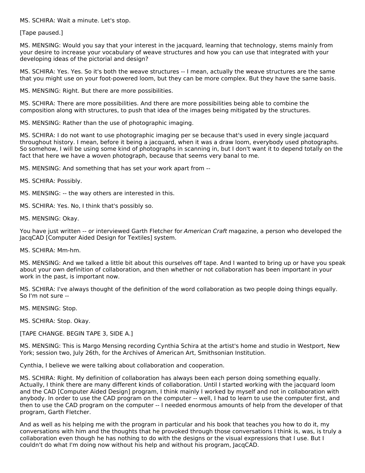MS. SCHIRA: Wait a minute. Let's stop.

[Tape paused.]

MS. MENSING: Would you say that your interest in the jacquard, learning that technology, stems mainly from your desire to increase your vocabulary of weave structures and how you can use that integrated with your developing ideas of the pictorial and design?

MS. SCHIRA: Yes. Yes. So it's both the weave structures -- I mean, actually the weave structures are the same that you might use on your foot-powered loom, but they can be more complex. But they have the same basis.

MS. MENSING: Right. But there are more possibilities.

MS. SCHIRA: There are more possibilities. And there are more possibilities being able to combine the composition along with structures, to push that idea of the images being mitigated by the structures.

MS. MENSING: Rather than the use of photographic imaging.

MS. SCHIRA: I do not want to use photographic imaging per se because that's used in every single jacquard throughout history. I mean, before it being a jacquard, when it was a draw loom, everybody used photographs. So somehow, I will be using some kind of photographs in scanning in, but I don't want it to depend totally on the fact that here we have a woven photograph, because that seems very banal to me.

MS. MENSING: And something that has set your work apart from --

MS. SCHIRA: Possibly.

MS. MENSING: -- the way others are interested in this.

MS. SCHIRA: Yes. No, I think that's possibly so.

MS. MENSING: Okay.

You have just written -- or interviewed Garth Fletcher for American Craft magazine, a person who developed the JacqCAD [Computer Aided Design for Textiles] system.

MS. SCHIRA: Mm-hm.

MS. MENSING: And we talked a little bit about this ourselves off tape. And I wanted to bring up or have you speak about your own definition of collaboration, and then whether or not collaboration has been important in your work in the past, is important now.

MS. SCHIRA: I've always thought of the definition of the word collaboration as two people doing things equally. So I'm not sure --

MS. MENSING: Stop.

MS. SCHIRA: Stop. Okay.

[TAPE CHANGE. BEGIN TAPE 3, SIDE A.]

MS. MENSING: This is Margo Mensing recording Cynthia Schira at the artist's home and studio in Westport, New York; session two, July 26th, for the Archives of American Art, Smithsonian Institution.

Cynthia, I believe we were talking about collaboration and cooperation.

MS. SCHIRA: Right. My definition of collaboration has always been each person doing something equally. Actually, I think there are many different kinds of collaboration. Until I started working with the jacquard loom and the CAD [Computer Aided Design] program, I think mainly I worked by myself and not in collaboration with anybody. In order to use the CAD program on the computer -- well, I had to learn to use the computer first, and then to use the CAD program on the computer -- I needed enormous amounts of help from the developer of that program, Garth Fletcher.

And as well as his helping me with the program in particular and his book that teaches you how to do it, my conversations with him and the thoughts that he provoked through those conversations I think is, was, is truly a collaboration even though he has nothing to do with the designs or the visual expressions that I use. But I couldn't do what I'm doing now without his help and without his program, JacqCAD.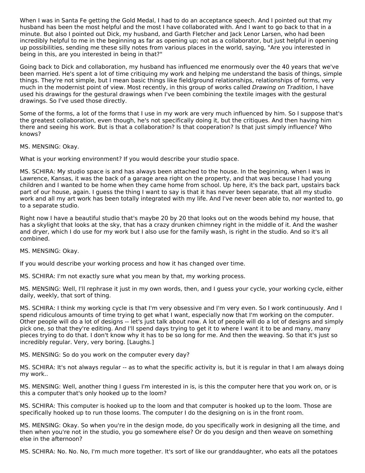When I was in Santa Fe getting the Gold Medal, I had to do an acceptance speech. And I pointed out that my husband has been the most helpful and the most I have collaborated with. And I want to go back to that in a minute. But also I pointed out Dick, my husband, and Garth Fletcher and Jack Lenor Larsen, who had been incredibly helpful to me in the beginning as far as opening up; not as a collaborator, but just helpful in opening up possibilities, sending me these silly notes from various places in the world, saying, "Are you interested in being in this, are you interested in being in that?"

Going back to Dick and collaboration, my husband has influenced me enormously over the 40 years that we've been married. He's spent a lot of time critiquing my work and helping me understand the basis of things, simple things. They're not simple, but I mean basic things like field/ground relationships, relationships of forms, very much in the modernist point of view. Most recently, in this group of works called Drawing on Tradition, I have used his drawings for the gestural drawings when I've been combining the textile images with the gestural drawings. So I've used those directly.

Some of the forms, a lot of the forms that I use in my work are very much influenced by him. So I suppose that's the greatest collaboration, even though, he's not specifically doing it, but the critiques. And then having him there and seeing his work. But is that a collaboration? Is that cooperation? Is that just simply influence? Who knows?

MS. MENSING: Okay.

What is your working environment? If you would describe your studio space.

MS. SCHIRA: My studio space is and has always been attached to the house. In the beginning, when I was in Lawrence, Kansas, it was the back of a garage area right on the property, and that was because I had young children and I wanted to be home when they came home from school. Up here, it's the back part, upstairs back part of our house, again. I guess the thing I want to say is that it has never been separate, that all my studio work and all my art work has been totally integrated with my life. And I've never been able to, nor wanted to, go to a separate studio.

Right now I have a beautiful studio that's maybe 20 by 20 that looks out on the woods behind my house, that has a skylight that looks at the sky, that has a crazy drunken chimney right in the middle of it. And the washer and dryer, which I do use for my work but I also use for the family wash, is right in the studio. And so it's all combined.

MS. MENSING: Okay.

If you would describe your working process and how it has changed over time.

MS. SCHIRA: I'm not exactly sure what you mean by that, my working process.

MS. MENSING: Well, I'll rephrase it just in my own words, then, and I guess your cycle, your working cycle, either daily, weekly, that sort of thing.

MS. SCHIRA: I think my working cycle is that I'm very obsessive and I'm very even. So I work continuously. And I spend ridiculous amounts of time trying to get what I want, especially now that I'm working on the computer. Other people will do a lot of designs -- let's just talk about now. A lot of people will do a lot of designs and simply pick one, so that they're editing. And I'll spend days trying to get it to where I want it to be and many, many pieces trying to do that. I don't know why it has to be so long for me. And then the weaving. So that it's just so incredibly regular. Very, very boring. [Laughs.]

MS. MENSING: So do you work on the computer every day?

MS. SCHIRA: It's not always regular -- as to what the specific activity is, but it is regular in that I am always doing my work..

MS. MENSING: Well, another thing I guess I'm interested in is, is this the computer here that you work on, or is this a computer that's only hooked up to the loom?

MS. SCHIRA: This computer is hooked up to the loom and that computer is hooked up to the loom. Those are specifically hooked up to run those looms. The computer I do the designing on is in the front room.

MS. MENSING: Okay. So when you're in the design mode, do you specifically work in designing all the time, and then when you're not in the studio, you go somewhere else? Or do you design and then weave on something else in the afternoon?

MS. SCHIRA: No. No. No, I'm much more together. It's sort of like our granddaughter, who eats all the potatoes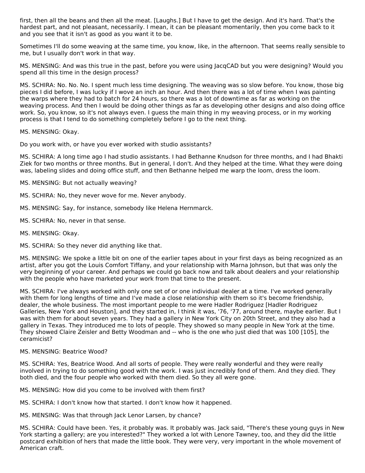first, then all the beans and then all the meat. [Laughs.] But I have to get the design. And it's hard. That's the hardest part, and not pleasant, necessarily. I mean, it can be pleasant momentarily, then you come back to it and you see that it isn't as good as you want it to be.

Sometimes I'll do some weaving at the same time, you know, like, in the afternoon. That seems really sensible to me, but I usually don't work in that way.

MS. MENSING: And was this true in the past, before you were using JacqCAD but you were designing? Would you spend all this time in the design process?

MS. SCHIRA: No. No. No. I spent much less time designing. The weaving was so slow before. You know, those big pieces I did before, I was lucky if I wove an inch an hour. And then there was a lot of time when I was painting the warps where they had to batch for 24 hours, so there was a lot of downtime as far as working on the weaving process. And then I would be doing other things as far as developing other designs and also doing office work. So, you know, so it's not always even. I guess the main thing in my weaving process, or in my working process is that I tend to do something completely before I go to the next thing.

MS. MENSING: Okay.

Do you work with, or have you ever worked with studio assistants?

MS. SCHIRA: A long time ago I had studio assistants. I had Bethanne Knudson for three months, and I had Bhakti Ziek for two months or three months. But in general, I don't. And they helped at the time. What they were doing was, labeling slides and doing office stuff, and then Bethanne helped me warp the loom, dress the loom.

- MS. MENSING: But not actually weaving?
- MS. SCHIRA: No, they never wove for me. Never anybody.
- MS. MENSING: Say, for instance, somebody like Helena Hernmarck.
- MS. SCHIRA: No, never in that sense.
- MS. MENSING: Okay.
- MS. SCHIRA: So they never did anything like that.

MS. MENSING: We spoke a little bit on one of the earlier tapes about in your first days as being recognized as an artist, after you got the Louis Comfort Tiffany, and your relationship with Marna Johnson, but that was only the very beginning of your career. And perhaps we could go back now and talk about dealers and your relationship with the people who have marketed your work from that time to the present.

MS. SCHIRA: I've always worked with only one set of or one individual dealer at a time. I've worked generally with them for long lengths of time and I've made a close relationship with them so it's become friendship, dealer, the whole business. The most important people to me were Hadler Rodriguez [Hadler Rodriguez Galleries, New York and Houston], and they started in, I think it was, '76, '77, around there, maybe earlier. But I was with them for about seven years. They had a gallery in New York City on 20th Street, and they also had a gallery in Texas. They introduced me to lots of people. They showed so many people in New York at the time. They showed Claire Zeisler and Betty Woodman and -- who is the one who just died that was 100 [105], the ceramicist?

#### MS. MENSING: Beatrice Wood?

MS. SCHIRA: Yes, Beatrice Wood. And all sorts of people. They were really wonderful and they were really involved in trying to do something good with the work. I was just incredibly fond of them. And they died. They both died, and the four people who worked with them died. So they all were gone.

MS. MENSING: How did you come to be involved with them first?

MS. SCHIRA: I don't know how that started. I don't know how it happened.

MS. MENSING: Was that through Jack Lenor Larsen, by chance?

MS. SCHIRA: Could have been. Yes, it probably was. It probably was. Jack said, "There's these young guys in New York starting a gallery; are you interested?" They worked a lot with Lenore Tawney, too, and they did the little postcard exhibition of hers that made the little book. They were very, very important in the whole movement of American craft.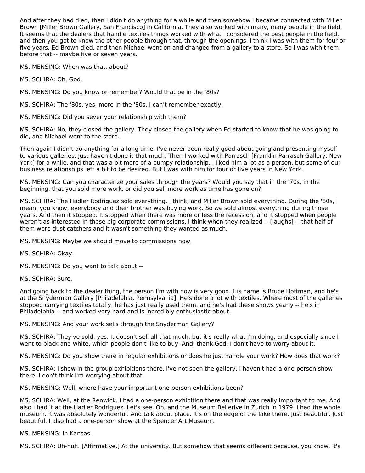And after they had died, then I didn't do anything for a while and then somehow I became connected with Miller Brown [Miller Brown Gallery, San Francisco] in California. They also worked with many, many people in the field. It seems that the dealers that handle textiles things worked with what I considered the best people in the field, and then you got to know the other people through that, through the openings. I think I was with them for four or five years. Ed Brown died, and then Michael went on and changed from a gallery to a store. So I was with them before that -- maybe five or seven years.

MS. MENSING: When was that, about?

MS. SCHIRA: Oh, God.

MS. MENSING: Do you know or remember? Would that be in the '80s?

MS. SCHIRA: The '80s, yes, more in the '80s. I can't remember exactly.

MS. MENSING: Did you sever your relationship with them?

MS. SCHIRA: No, they closed the gallery. They closed the gallery when Ed started to know that he was going to die, and Michael went to the store.

Then again I didn't do anything for a long time. I've never been really good about going and presenting myself to various galleries. Just haven't done it that much. Then I worked with Parrasch [Franklin Parrasch Gallery, New York] for a while, and that was a bit more of a bumpy relationship. I liked him a lot as a person, but some of our business relationships left a bit to be desired. But I was with him for four or five years in New York.

MS. MENSING: Can you characterize your sales through the years? Would you say that in the '70s, in the beginning, that you sold more work, or did you sell more work as time has gone on?

MS. SCHIRA: The Hadler Rodriguez sold everything, I think, and Miller Brown sold everything. During the '80s, I mean, you know, everybody and their brother was buying work. So we sold almost everything during those years. And then it stopped. It stopped when there was more or less the recession, and it stopped when people weren't as interested in these big corporate commissions, I think when they realized -- [laughs] -- that half of them were dust catchers and it wasn't something they wanted as much.

MS. MENSING: Maybe we should move to commissions now.

MS. SCHIRA: Okay.

MS. MENSING: Do you want to talk about --

MS. SCHIRA: Sure.

And going back to the dealer thing, the person I'm with now is very good. His name is Bruce Hoffman, and he's at the Snyderman Gallery [Philadelphia, Pennsylvania]. He's done a lot with textiles. Where most of the galleries stopped carrying textiles totally, he has just really used them, and he's had these shows yearly -- he's in Philadelphia -- and worked very hard and is incredibly enthusiastic about.

MS. MENSING: And your work sells through the Snyderman Gallery?

MS. SCHIRA: They've sold, yes. It doesn't sell all that much, but it's really what I'm doing, and especially since I went to black and white, which people don't like to buy. And, thank God, I don't have to worry about it.

MS. MENSING: Do you show there in regular exhibitions or does he just handle your work? How does that work?

MS. SCHIRA: I show in the group exhibitions there. I've not seen the gallery. I haven't had a one-person show there. I don't think I'm worrying about that.

MS. MENSING: Well, where have your important one-person exhibitions been?

MS. SCHIRA: Well, at the Renwick. I had a one-person exhibition there and that was really important to me. And also I had it at the Hadler Rodriguez. Let's see. Oh, and the Museum Bellerive in Zurich in 1979. I had the whole museum. It was absolutely wonderful. And talk about place. It's on the edge of the lake there. Just beautiful. Just beautiful. I also had a one-person show at the Spencer Art Museum.

MS. MENSING: In Kansas.

MS. SCHIRA: Uh-huh. [Affirmative.] At the university. But somehow that seems different because, you know, it's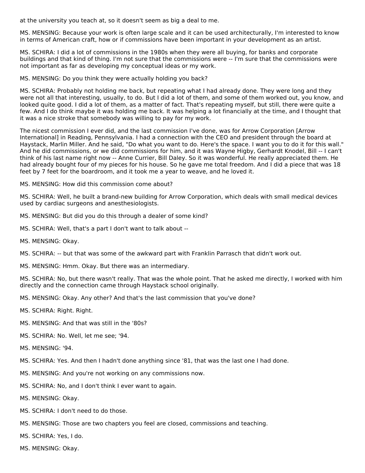at the university you teach at, so it doesn't seem as big a deal to me.

MS. MENSING: Because your work is often large scale and it can be used architecturally, I'm interested to know in terms of American craft, how or if commissions have been important in your development as an artist.

MS. SCHIRA: I did a lot of commissions in the 1980s when they were all buying, for banks and corporate buildings and that kind of thing. I'm not sure that the commissions were -- I'm sure that the commissions were not important as far as developing my conceptual ideas or my work.

MS. MENSING: Do you think they were actually holding you back?

MS. SCHIRA: Probably not holding me back, but repeating what I had already done. They were long and they were not all that interesting, usually, to do. But I did a lot of them, and some of them worked out, you know, and looked quite good. I did a lot of them, as a matter of fact. That's repeating myself, but still, there were quite a few. And I do think maybe it was holding me back. It was helping a lot financially at the time, and I thought that it was a nice stroke that somebody was willing to pay for my work.

The nicest commission I ever did, and the last commission I've done, was for Arrow Corporation [Arrow International] in Reading, Pennsylvania. I had a connection with the CEO and president through the board at Haystack, Marlin Miller. And he said, "Do what you want to do. Here's the space. I want you to do it for this wall." And he did commissions, or we did commissions for him, and it was Wayne Higby, Gerhardt Knodel, Bill -- I can't think of his last name right now -- Anne Currier, Bill Daley. So it was wonderful. He really appreciated them. He had already bought four of my pieces for his house. So he gave me total freedom. And I did a piece that was 18 feet by 7 feet for the boardroom, and it took me a year to weave, and he loved it.

MS. MENSING: How did this commission come about?

MS. SCHIRA: Well, he built a brand-new building for Arrow Corporation, which deals with small medical devices used by cardiac surgeons and anesthesiologists.

MS. MENSING: But did you do this through a dealer of some kind?

MS. SCHIRA: Well, that's a part I don't want to talk about --

- MS. MENSING: Okay.
- MS. SCHIRA: -- but that was some of the awkward part with Franklin Parrasch that didn't work out.

MS. MENSING: Hmm. Okay. But there was an intermediary.

MS. SCHIRA: No, but there wasn't really. That was the whole point. That he asked me directly, I worked with him directly and the connection came through Haystack school originally.

- MS. MENSING: Okay. Any other? And that's the last commission that you've done?
- MS. SCHIRA: Right. Right.
- MS. MENSING: And that was still in the '80s?
- MS. SCHIRA: No. Well, let me see; '94.
- MS. MENSING: '94.
- MS. SCHIRA: Yes. And then I hadn't done anything since '81, that was the last one I had done.
- MS. MENSING: And you're not working on any commissions now.
- MS. SCHIRA: No, and I don't think I ever want to again.
- MS. MENSING: Okay.
- MS. SCHIRA: I don't need to do those.
- MS. MENSING: Those are two chapters you feel are closed, commissions and teaching.
- MS. SCHIRA: Yes, I do.
- MS. MENSING: Okay.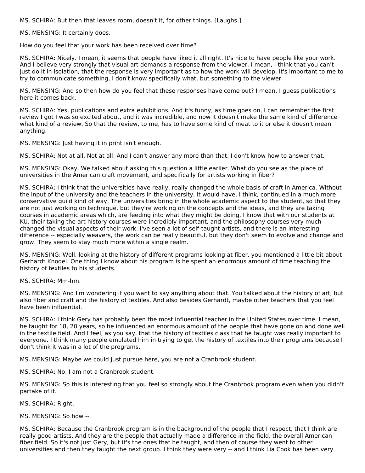MS. SCHIRA: But then that leaves room, doesn't it, for other things. [Laughs.]

MS. MENSING: It certainly does.

How do you feel that your work has been received over time?

MS. SCHIRA: Nicely. I mean, it seems that people have liked it all right. It's nice to have people like your work. And I believe very strongly that visual art demands a response from the viewer. I mean, I think that you can't just do it in isolation, that the response is very important as to how the work will develop. It's important to me to try to communicate something, I don't know specifically what, but something to the viewer.

MS. MENSING: And so then how do you feel that these responses have come out? I mean, I guess publications here it comes back.

MS. SCHIRA: Yes, publications and extra exhibitions. And it's funny, as time goes on, I can remember the first review I got I was so excited about, and it was incredible, and now it doesn't make the same kind of difference what kind of a review. So that the review, to me, has to have some kind of meat to it or else it doesn't mean anything.

MS. MENSING: Just having it in print isn't enough.

MS. SCHIRA: Not at all. Not at all. And I can't answer any more than that. I don't know how to answer that.

MS. MENSING: Okay. We talked about asking this question a little earlier. What do you see as the place of universities in the American craft movement, and specifically for artists working in fiber?

MS. SCHIRA: I think that the universities have really, really changed the whole basis of craft in America. Without the input of the university and the teachers in the university, it would have, I think, continued in a much more conservative guild kind of way. The universities bring in the whole academic aspect to the student, so that they are not just working on technique, but they're working on the concepts and the ideas, and they are taking courses in academic areas which, are feeding into what they might be doing. I know that with our students at KU, their taking the art history courses were incredibly important, and the philosophy courses very much changed the visual aspects of their work. I've seen a lot of self-taught artists, and there is an interesting difference -- especially weavers, the work can be really beautiful, but they don't seem to evolve and change and grow. They seem to stay much more within a single realm.

MS. MENSING: Well, looking at the history of different programs looking at fiber, you mentioned a little bit about Gerhardt Knodel. One thing I know about his program is he spent an enormous amount of time teaching the history of textiles to his students.

MS. SCHIRA: Mm-hm.

MS. MENSING: And I'm wondering if you want to say anything about that. You talked about the history of art, but also fiber and craft and the history of textiles. And also besides Gerhardt, maybe other teachers that you feel have been influential.

MS. SCHIRA: I think Gery has probably been the most influential teacher in the United States over time. I mean, he taught for 18, 20 years, so he influenced an enormous amount of the people that have gone on and done well in the textile field. And I feel, as you say, that the history of textiles class that he taught was really important to everyone. I think many people emulated him in trying to get the history of textiles into their programs because I don't think it was in a lot of the programs.

MS. MENSING: Maybe we could just pursue here, you are not a Cranbrook student.

MS. SCHIRA: No, I am not a Cranbrook student.

MS. MENSING: So this is interesting that you feel so strongly about the Cranbrook program even when you didn't partake of it.

MS. SCHIRA: Right.

MS. MENSING: So how --

MS. SCHIRA: Because the Cranbrook program is in the background of the people that I respect, that I think are really good artists. And they are the people that actually made a difference in the field, the overall American fiber field. So it's not just Gery, but it's the ones that he taught, and then of course they went to other universities and then they taught the next group. I think they were very -- and I think Lia Cook has been very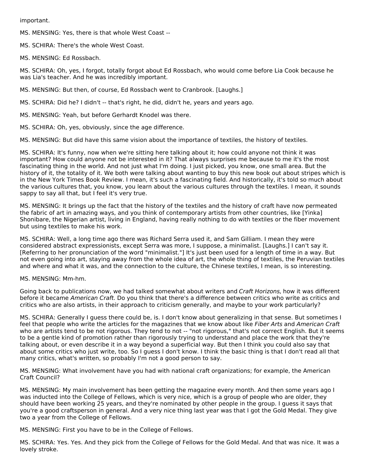important.

MS. MENSING: Yes, there is that whole West Coast --

MS. SCHIRA: There's the whole West Coast.

MS. MENSING: Ed Rossbach.

MS. SCHIRA: Oh, yes, I forgot, totally forgot about Ed Rossbach, who would come before Lia Cook because he was Lia's teacher. And he was incredibly important.

MS. MENSING: But then, of course, Ed Rossbach went to Cranbrook. [Laughs.]

MS. SCHIRA: Did he? I didn't -- that's right, he did, didn't he, years and years ago.

MS. MENSING: Yeah, but before Gerhardt Knodel was there.

MS. SCHIRA: Oh, yes, obviously, since the age difference.

MS. MENSING: But did have this same vision about the importance of textiles, the history of textiles.

MS. SCHIRA: It's funny, now when we're sitting here talking about it; how could anyone not think it was important? How could anyone not be interested in it? That always surprises me because to me it's the most fascinating thing in the world. And not just what I'm doing. I just picked, you know, one small area. But the history of it, the totality of it. We both were talking about wanting to buy this new book out about stripes which is in the New York Times Book Review. I mean, it's such a fascinating field. And historically, it's told so much about the various cultures that, you know, you learn about the various cultures through the textiles. I mean, it sounds sappy to say all that, but I feel it's very true.

MS. MENSING: It brings up the fact that the history of the textiles and the history of craft have now permeated the fabric of art in amazing ways, and you think of contemporary artists from other countries, like [Yinka] Shonibare, the Nigerian artist, living in England, having really nothing to do with textiles or the fiber movement but using textiles to make his work.

MS. SCHIRA: Well, a long time ago there was Richard Serra used it, and Sam Gilliam. I mean they were considered abstract expressionists, except Serra was more, I suppose, a minimalist. [Laughs.] I can't say it. [Referring to her pronunciation of the word "minimalist."] It's just been used for a length of time in a way. But not even going into art, staying away from the whole idea of art, the whole thing of textiles, the Peruvian textiles and where and what it was, and the connection to the culture, the Chinese textiles, I mean, is so interesting.

MS. MENSING: Mm-hm.

Going back to publications now, we had talked somewhat about writers and Craft Horizons, how it was different before it became American Craft. Do you think that there's a difference between critics who write as critics and critics who are also artists, in their approach to criticism generally, and maybe to your work particularly?

MS. SCHIRA: Generally I guess there could be, is. I don't know about generalizing in that sense. But sometimes I feel that people who write the articles for the magazines that we know about like Fiber Arts and American Craft who are artists tend to be not rigorous. They tend to not -- "not rigorous," that's not correct English. But it seems to be a gentle kind of promotion rather than rigorously trying to understand and place the work that they're talking about, or even describe it in a way beyond a superficial way. But then I think you could also say that about some critics who just write, too. So I guess I don't know. I think the basic thing is that I don't read all that many critics, what's written, so probably I'm not a good person to say.

MS. MENSING: What involvement have you had with national craft organizations; for example, the American Craft Council?

MS. MENSING: My main involvement has been getting the magazine every month. And then some years ago I was inducted into the College of Fellows, which is very nice, which is a group of people who are older, they should have been working 25 years, and they're nominated by other people in the group. I guess it says that you're a good craftsperson in general. And a very nice thing last year was that I got the Gold Medal. They give two a year from the College of Fellows.

MS. MENSING: First you have to be in the College of Fellows.

MS. SCHIRA: Yes. Yes. And they pick from the College of Fellows for the Gold Medal. And that was nice. It was a lovely stroke.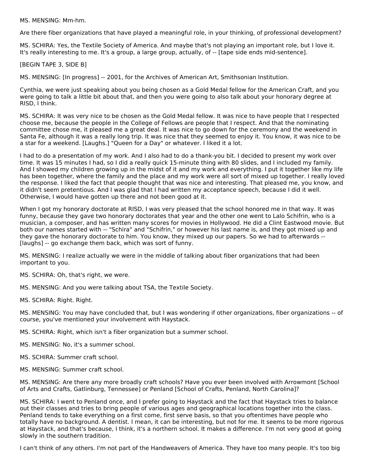MS. MENSING: Mm-hm.

Are there fiber organizations that have played a meaningful role, in your thinking, of professional development?

MS. SCHIRA: Yes, the Textile Society of America. And maybe that's not playing an important role, but I love it. It's really interesting to me. It's a group, a large group, actually, of -- [tape side ends mid-sentence].

[BEGIN TAPE 3, SIDE B]

MS. MENSING: [In progress] -- 2001, for the Archives of American Art, Smithsonian Institution.

Cynthia, we were just speaking about you being chosen as a Gold Medal fellow for the American Craft, and you were going to talk a little bit about that, and then you were going to also talk about your honorary degree at RISD, I think.

MS. SCHIRA: It was very nice to be chosen as the Gold Medal fellow. It was nice to have people that I respected choose me, because the people in the College of Fellows are people that I respect. And that the nominating committee chose me, it pleased me a great deal. It was nice to go down for the ceremony and the weekend in Santa Fe, although it was a really long trip. It was nice that they seemed to enjoy it. You know, it was nice to be a star for a weekend. [Laughs.] "Queen for a Day" or whatever. I liked it a lot.

I had to do a presentation of my work. And I also had to do a thank-you bit. I decided to present my work over time. It was 15 minutes I had, so I did a really quick 15-minute thing with 80 slides, and I included my family. And I showed my children growing up in the midst of it and my work and everything. I put it together like my life has been together, where the family and the place and my work were all sort of mixed up together. I really loved the response. I liked the fact that people thought that was nice and interesting. That pleased me, you know, and it didn't seem pretentious. And I was glad that I had written my acceptance speech, because I did it well. Otherwise, I would have gotten up there and not been good at it.

When I got my honorary doctorate at RISD, I was very pleased that the school honored me in that way. It was funny, because they gave two honorary doctorates that year and the other one went to Lalo Schifrin, who is a musician, a composer, and has written many scores for movies in Hollywood. He did a Clint Eastwood movie. But both our names started with -- "Schira" and "Schifrin," or however his last name is, and they got mixed up and they gave the honorary doctorate to him. You know, they mixed up our papers. So we had to afterwards -- [laughs] -- go exchange them back, which was sort of funny.

MS. MENSING: I realize actually we were in the middle of talking about fiber organizations that had been important to you.

MS. SCHIRA: Oh, that's right, we were.

MS. MENSING: And you were talking about TSA, the Textile Society.

MS. SCHIRA: Right. Right.

MS. MENSING: You may have concluded that, but I was wondering if other organizations, fiber organizations -- of course, you've mentioned your involvement with Haystack.

MS. SCHIRA: Right, which isn't a fiber organization but a summer school.

MS. MENSING: No, it's a summer school.

MS. SCHIRA: Summer craft school.

MS. MENSING: Summer craft school.

MS. MENSING: Are there any more broadly craft schools? Have you ever been involved with Arrowmont [School of Arts and Crafts, Gatlinburg, Tennessee] or Penland [School of Crafts, Penland, North Carolina]?

MS. SCHIRA: I went to Penland once, and I prefer going to Haystack and the fact that Haystack tries to balance out their classes and tries to bring people of various ages and geographical locations together into the class. Penland tends to take everything on a first come, first serve basis, so that you oftentimes have people who totally have no background. A dentist. I mean, it can be interesting, but not for me. It seems to be more rigorous at Haystack, and that's because, I think, it's a northern school. It makes a difference. I'm not very good at going slowly in the southern tradition.

I can't think of any others. I'm not part of the Handweavers of America. They have too many people. It's too big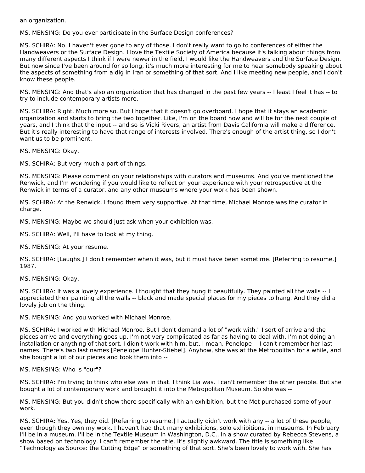an organization.

MS. MENSING: Do you ever participate in the Surface Design conferences?

MS. SCHIRA: No. I haven't ever gone to any of those. I don't really want to go to conferences of either the Handweavers or the Surface Design. I love the Textile Society of America because it's talking about things from many different aspects I think if I were newer in the field, I would like the Handweavers and the Surface Design. But now since I've been around for so long, it's much more interesting for me to hear somebody speaking about the aspects of something from a dig in Iran or something of that sort. And I like meeting new people, and I don't know these people.

MS. MENSING: And that's also an organization that has changed in the past few years -- I least I feel it has -- to try to include contemporary artists more.

MS. SCHIRA: Right. Much more so. But I hope that it doesn't go overboard. I hope that it stays an academic organization and starts to bring the two together. Like, I'm on the board now and will be for the next couple of years, and I think that the input -- and so is Vicki Rivers, an artist from Davis California will make a difference. But it's really interesting to have that range of interests involved. There's enough of the artist thing, so I don't want us to be prominent.

MS. MENSING: Okay.

MS. SCHIRA: But very much a part of things.

MS. MENSING: Please comment on your relationships with curators and museums. And you've mentioned the Renwick, and I'm wondering if you would like to reflect on your experience with your retrospective at the Renwick in terms of a curator, and any other museums where your work has been shown.

MS. SCHIRA: At the Renwick, I found them very supportive. At that time, Michael Monroe was the curator in charge.

MS. MENSING: Maybe we should just ask when your exhibition was.

MS. SCHIRA: Well, I'll have to look at my thing.

MS. MENSING: At your resume.

MS. SCHIRA: [Laughs.] I don't remember when it was, but it must have been sometime. [Referring to resume.] 1987.

MS. MENSING: Okay.

MS. SCHIRA: It was a lovely experience. I thought that they hung it beautifully. They painted all the walls -- I appreciated their painting all the walls -- black and made special places for my pieces to hang. And they did a lovely job on the thing.

MS. MENSING: And you worked with Michael Monroe.

MS. SCHIRA: I worked with Michael Monroe. But I don't demand a lot of "work with." I sort of arrive and the pieces arrive and everything goes up. I'm not very complicated as far as having to deal with. I'm not doing an installation or anything of that sort. I didn't work with him, but, I mean, Penelope -- I can't remember her last names. There's two last names [Penelope Hunter-Stiebel]. Anyhow, she was at the Metropolitan for a while, and she bought a lot of our pieces and took them into --

MS. MENSING: Who is "our"?

MS. SCHIRA: I'm trying to think who else was in that. I think Lia was. I can't remember the other people. But she bought a lot of contemporary work and brought it into the Metropolitan Museum. So she was --

MS. MENSING: But you didn't show there specifically with an exhibition, but the Met purchased some of your work.

MS. SCHIRA: Yes. Yes, they did. [Referring to resume.] I actually didn't work with any -- a lot of these people, even though they own my work. I haven't had that many exhibitions, solo exhibitions, in museums. In February I'll be in a museum. I'll be in the Textile Museum in Washington, D.C., in a show curated by Rebecca Stevens, a show based on technology. I can't remember the title. It's slightly awkward. The title is something like "Technology as Source: the Cutting Edge" or something of that sort. She's been lovely to work with. She has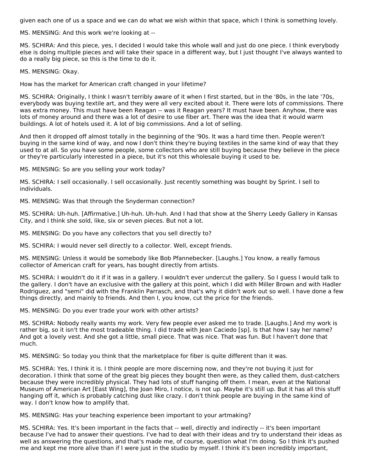given each one of us a space and we can do what we wish within that space, which I think is something lovely.

MS. MENSING: And this work we're looking at --

MS. SCHIRA: And this piece, yes, I decided I would take this whole wall and just do one piece. I think everybody else is doing multiple pieces and will take their space in a different way, but I just thought I've always wanted to do a really big piece, so this is the time to do it.

MS. MENSING: Okay.

How has the market for American craft changed in your lifetime?

MS. SCHIRA: Originally, I think I wasn't terribly aware of it when I first started, but in the '80s, in the late '70s, everybody was buying textile art, and they were all very excited about it. There were lots of commissions. There was extra money. This must have been Reagan -- was it Reagan years? It must have been. Anyhow, there was lots of money around and there was a lot of desire to use fiber art. There was the idea that it would warm buildings. A lot of hotels used it. A lot of big commissions. And a lot of selling.

And then it dropped off almost totally in the beginning of the '90s. It was a hard time then. People weren't buying in the same kind of way, and now I don't think they're buying textiles in the same kind of way that they used to at all. So you have some people, some collectors who are still buying because they believe in the piece or they're particularly interested in a piece, but it's not this wholesale buying it used to be.

MS. MENSING: So are you selling your work today?

MS. SCHIRA: I sell occasionally. I sell occasionally. Just recently something was bought by Sprint. I sell to individuals.

MS. MENSING: Was that through the Snyderman connection?

MS. SCHIRA: Uh-huh. [Affirmative.] Uh-huh. Uh-huh. And I had that show at the Sherry Leedy Gallery in Kansas City, and I think she sold, like, six or seven pieces. But not a lot.

MS. MENSING: Do you have any collectors that you sell directly to?

MS. SCHIRA: I would never sell directly to a collector. Well, except friends.

MS. MENSING: Unless it would be somebody like Bob Pfannebecker. [Laughs.] You know, a really famous collector of American craft for years, has bought directly from artists.

MS. SCHIRA: I wouldn't do it if it was in a gallery. I wouldn't ever undercut the gallery. So I guess I would talk to the gallery. I don't have an exclusive with the gallery at this point, which I did with Miller Brown and with Hadler Rodriguez, and "semi" did with the Franklin Parrasch, and that's why it didn't work out so well. I have done a few things directly, and mainly to friends. And then I, you know, cut the price for the friends.

MS. MENSING: Do you ever trade your work with other artists?

MS. SCHIRA: Nobody really wants my work. Very few people ever asked me to trade. [Laughs.] And my work is rather big, so it isn't the most tradeable thing. I did trade with Jean Caciedo [sp]. Is that how I say her name? And got a lovely vest. And she got a little, small piece. That was nice. That was fun. But I haven't done that much.

MS. MENSING: So today you think that the marketplace for fiber is quite different than it was.

MS. SCHIRA: Yes, I think it is. I think people are more discerning now, and they're not buying it just for decoration. I think that some of the great big pieces they bought then were, as they called them, dust-catchers because they were incredibly physical. They had lots of stuff hanging off them. I mean, even at the National Museum of American Art [East Wing], the Joan Miro, I notice, is not up. Maybe it's still up. But it has all this stuff hanging off it, which is probably catching dust like crazy. I don't think people are buying in the same kind of way. I don't know how to amplify that.

MS. MENSING: Has your teaching experience been important to your artmaking?

MS. SCHIRA: Yes. It's been important in the facts that -- well, directly and indirectly -- it's been important because I've had to answer their questions. I've had to deal with their ideas and try to understand their ideas as well as answering the questions, and that's made me, of course, question what I'm doing. So I think it's pushed me and kept me more alive than if I were just in the studio by myself. I think it's been incredibly important,